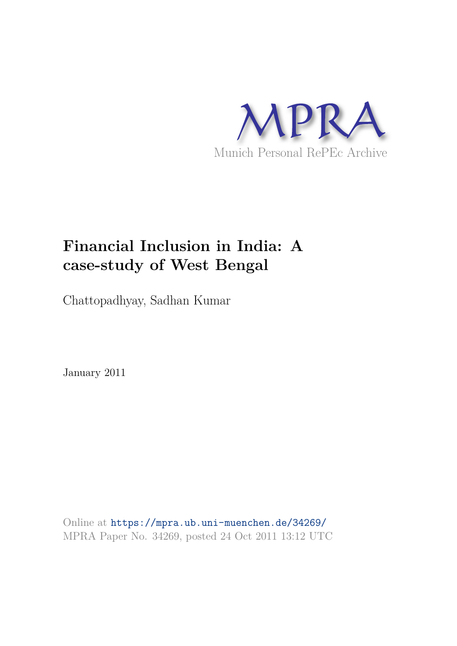

# **Financial Inclusion in India: A case-study of West Bengal**

Chattopadhyay, Sadhan Kumar

January 2011

Online at https://mpra.ub.uni-muenchen.de/34269/ MPRA Paper No. 34269, posted 24 Oct 2011 13:12 UTC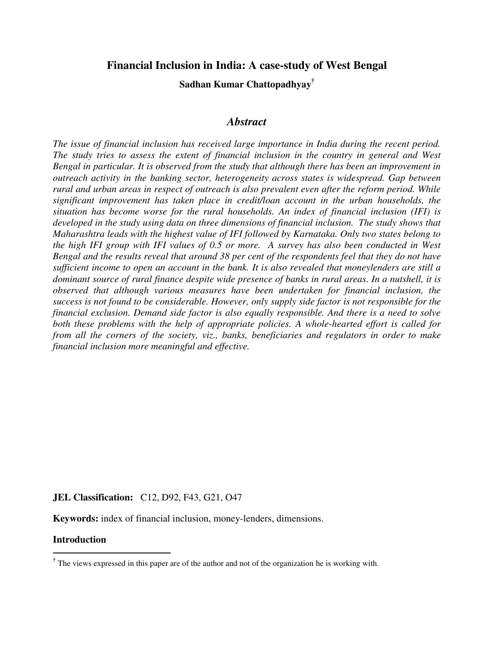## **Financial Inclusion in India: A case-study of West Bengal**

**Sadhan Kumar Chattopadhyay†**

## *Abstract*

*The issue of financial inclusion has received large importance in India during the recent period. The study tries to assess the extent of financial inclusion in the country in general and West Bengal in particular. It is observed from the study that although there has been an improvement in outreach activity in the banking sector, heterogeneity across states is widespread. Gap between rural and urban areas in respect of outreach is also prevalent even after the reform period. While significant improvement has taken place in credit/loan account in the urban households, the situation has become worse for the rural households. An index of financial inclusion (IFI) is*  developed in the study using data on three dimensions of financial inclusion. The study shows that *Maharashtra leads with the highest value of IFI followed by Karnataka. Only two states belong to the high IFI group with IFI values of 0.5 or more. A survey has also been conducted in West Bengal and the results reveal that around 38 per cent of the respondents feel that they do not have sufficient income to open an account in the bank. It is also revealed that moneylenders are still a dominant source of rural finance despite wide presence of banks in rural areas. In a nutshell, it is observed that although various measures have been undertaken for financial inclusion, the success is not found to be considerable. However, only supply side factor is not responsible for the financial exclusion. Demand side factor is also equally responsible. And there is a need to solve both these problems with the help of appropriate policies. A whole-hearted effort is called for from all the corners of the society, viz., banks, beneficiaries and regulators in order to make financial inclusion more meaningful and effective.* 

#### **JEL Classification:** C12, D92, F43, G21, O47

**Keywords:** index of financial inclusion, money-lenders, dimensions.

#### **Introduction**

l

**<sup>†</sup>** The views expressed in this paper are of the author and not of the organization he is working with.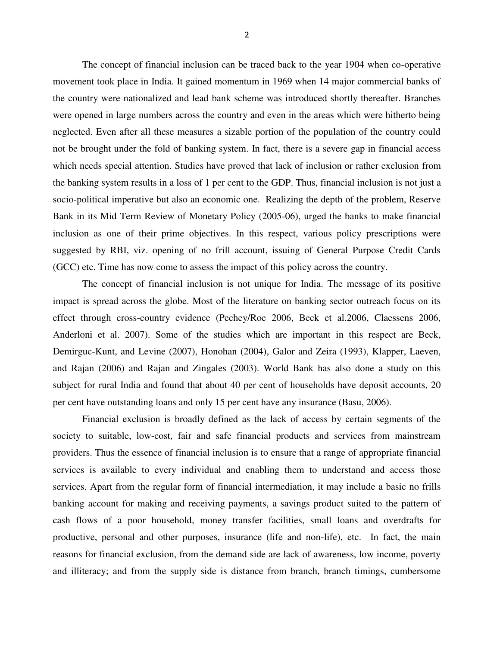The concept of financial inclusion can be traced back to the year 1904 when co-operative movement took place in India. It gained momentum in 1969 when 14 major commercial banks of the country were nationalized and lead bank scheme was introduced shortly thereafter. Branches were opened in large numbers across the country and even in the areas which were hitherto being neglected. Even after all these measures a sizable portion of the population of the country could not be brought under the fold of banking system. In fact, there is a severe gap in financial access which needs special attention. Studies have proved that lack of inclusion or rather exclusion from the banking system results in a loss of 1 per cent to the GDP. Thus, financial inclusion is not just a socio-political imperative but also an economic one. Realizing the depth of the problem, Reserve Bank in its Mid Term Review of Monetary Policy (2005-06), urged the banks to make financial inclusion as one of their prime objectives. In this respect, various policy prescriptions were suggested by RBI, viz. opening of no frill account, issuing of General Purpose Credit Cards (GCC) etc. Time has now come to assess the impact of this policy across the country.

The concept of financial inclusion is not unique for India. The message of its positive impact is spread across the globe. Most of the literature on banking sector outreach focus on its effect through cross-country evidence (Pechey/Roe 2006, Beck et al.2006, Claessens 2006, Anderloni et al. 2007). Some of the studies which are important in this respect are Beck, Demirguc-Kunt, and Levine (2007), Honohan (2004), Galor and Zeira (1993), Klapper, Laeven, and Rajan (2006) and Rajan and Zingales (2003). World Bank has also done a study on this subject for rural India and found that about 40 per cent of households have deposit accounts, 20 per cent have outstanding loans and only 15 per cent have any insurance (Basu, 2006).

Financial exclusion is broadly defined as the lack of access by certain segments of the society to suitable, low-cost, fair and safe financial products and services from mainstream providers. Thus the essence of financial inclusion is to ensure that a range of appropriate financial services is available to every individual and enabling them to understand and access those services. Apart from the regular form of financial intermediation, it may include a basic no frills banking account for making and receiving payments, a savings product suited to the pattern of cash flows of a poor household, money transfer facilities, small loans and overdrafts for productive, personal and other purposes, insurance (life and non-life), etc. In fact, the main reasons for financial exclusion, from the demand side are lack of awareness, low income, poverty and illiteracy; and from the supply side is distance from branch, branch timings, cumbersome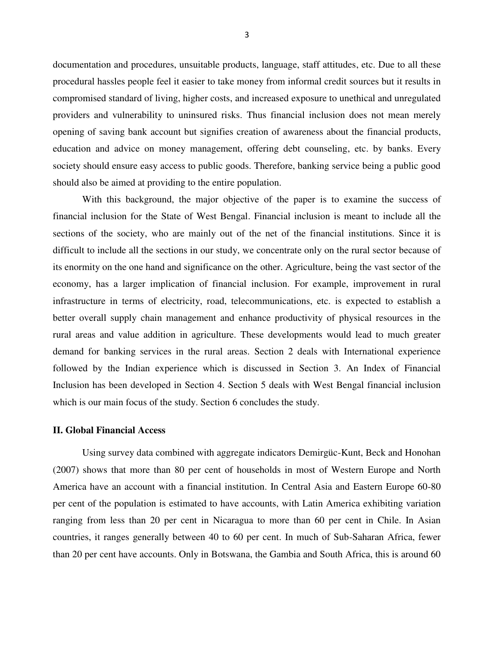documentation and procedures, unsuitable products, language, staff attitudes, etc. Due to all these procedural hassles people feel it easier to take money from informal credit sources but it results in compromised standard of living, higher costs, and increased exposure to unethical and unregulated providers and vulnerability to uninsured risks. Thus financial inclusion does not mean merely opening of saving bank account but signifies creation of awareness about the financial products, education and advice on money management, offering debt counseling, etc. by banks. Every society should ensure easy access to public goods. Therefore, banking service being a public good should also be aimed at providing to the entire population.

With this background, the major objective of the paper is to examine the success of financial inclusion for the State of West Bengal. Financial inclusion is meant to include all the sections of the society, who are mainly out of the net of the financial institutions. Since it is difficult to include all the sections in our study, we concentrate only on the rural sector because of its enormity on the one hand and significance on the other. Agriculture, being the vast sector of the economy, has a larger implication of financial inclusion. For example, improvement in rural infrastructure in terms of electricity, road, telecommunications, etc. is expected to establish a better overall supply chain management and enhance productivity of physical resources in the rural areas and value addition in agriculture. These developments would lead to much greater demand for banking services in the rural areas. Section 2 deals with International experience followed by the Indian experience which is discussed in Section 3. An Index of Financial Inclusion has been developed in Section 4. Section 5 deals with West Bengal financial inclusion which is our main focus of the study. Section 6 concludes the study.

## **II. Global Financial Access**

 Using survey data combined with aggregate indicators Demirgüc-Kunt, Beck and Honohan (2007) shows that more than 80 per cent of households in most of Western Europe and North America have an account with a financial institution. In Central Asia and Eastern Europe 60-80 per cent of the population is estimated to have accounts, with Latin America exhibiting variation ranging from less than 20 per cent in Nicaragua to more than 60 per cent in Chile. In Asian countries, it ranges generally between 40 to 60 per cent. In much of Sub-Saharan Africa, fewer than 20 per cent have accounts. Only in Botswana, the Gambia and South Africa, this is around 60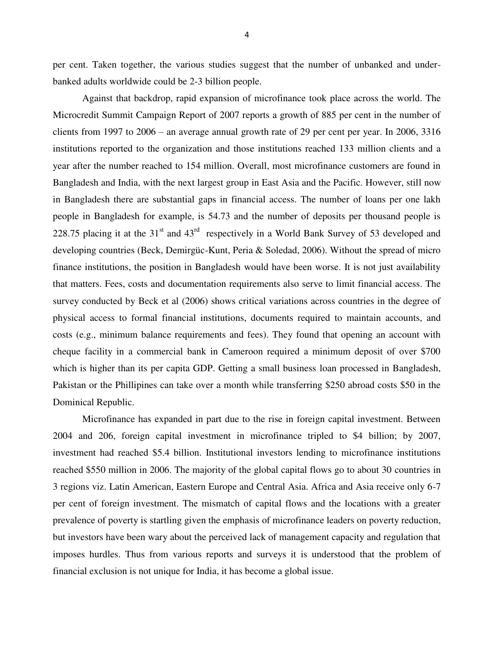per cent. Taken together, the various studies suggest that the number of unbanked and underbanked adults worldwide could be 2-3 billion people.

Against that backdrop, rapid expansion of microfinance took place across the world. The Microcredit Summit Campaign Report of 2007 reports a growth of 885 per cent in the number of clients from 1997 to 2006 – an average annual growth rate of 29 per cent per year. In 2006, 3316 institutions reported to the organization and those institutions reached 133 million clients and a year after the number reached to 154 million. Overall, most microfinance customers are found in Bangladesh and India, with the next largest group in East Asia and the Pacific. However, still now in Bangladesh there are substantial gaps in financial access. The number of loans per one lakh people in Bangladesh for example, is 54.73 and the number of deposits per thousand people is 228.75 placing it at the  $31<sup>st</sup>$  and  $43<sup>rd</sup>$  respectively in a World Bank Survey of 53 developed and developing countries (Beck, Demirgüc-Kunt, Peria & Soledad, 2006). Without the spread of micro finance institutions, the position in Bangladesh would have been worse. It is not just availability that matters. Fees, costs and documentation requirements also serve to limit financial access. The survey conducted by Beck et al (2006) shows critical variations across countries in the degree of physical access to formal financial institutions, documents required to maintain accounts, and costs (e.g., minimum balance requirements and fees). They found that opening an account with cheque facility in a commercial bank in Cameroon required a minimum deposit of over \$700 which is higher than its per capita GDP. Getting a small business loan processed in Bangladesh, Pakistan or the Phillipines can take over a month while transferring \$250 abroad costs \$50 in the Dominical Republic.

Microfinance has expanded in part due to the rise in foreign capital investment. Between 2004 and 206, foreign capital investment in microfinance tripled to \$4 billion; by 2007, investment had reached \$5.4 billion. Institutional investors lending to microfinance institutions reached \$550 million in 2006. The majority of the global capital flows go to about 30 countries in 3 regions viz. Latin American, Eastern Europe and Central Asia. Africa and Asia receive only 6-7 per cent of foreign investment. The mismatch of capital flows and the locations with a greater prevalence of poverty is startling given the emphasis of microfinance leaders on poverty reduction, but investors have been wary about the perceived lack of management capacity and regulation that imposes hurdles. Thus from various reports and surveys it is understood that the problem of financial exclusion is not unique for India, it has become a global issue.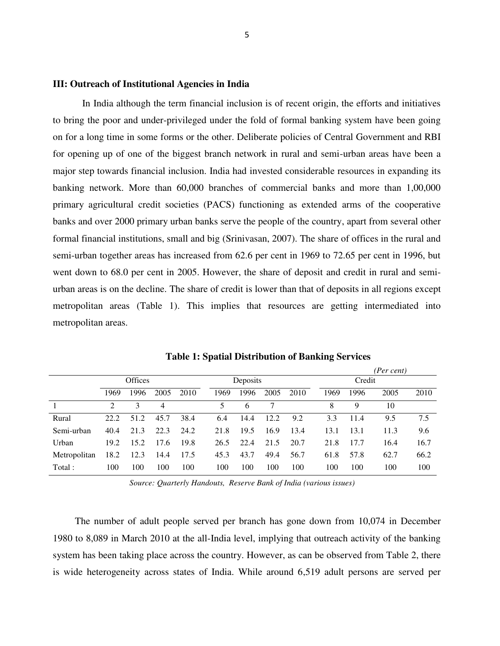#### **III: Outreach of Institutional Agencies in India**

In India although the term financial inclusion is of recent origin, the efforts and initiatives to bring the poor and under-privileged under the fold of formal banking system have been going on for a long time in some forms or the other. Deliberate policies of Central Government and RBI for opening up of one of the biggest branch network in rural and semi-urban areas have been a major step towards financial inclusion. India had invested considerable resources in expanding its banking network. More than 60,000 branches of commercial banks and more than 1,00,000 primary agricultural credit societies (PACS) functioning as extended arms of the cooperative banks and over 2000 primary urban banks serve the people of the country, apart from several other formal financial institutions, small and big (Srinivasan, 2007). The share of offices in the rural and semi-urban together areas has increased from 62.6 per cent in 1969 to 72.65 per cent in 1996, but went down to 68.0 per cent in 2005. However, the share of deposit and credit in rural and semiurban areas is on the decline. The share of credit is lower than that of deposits in all regions except metropolitan areas (Table 1). This implies that resources are getting intermediated into metropolitan areas.

|              |                             |                |      |      |                          |          |      |      |      | (Per cent) |      |      |  |
|--------------|-----------------------------|----------------|------|------|--------------------------|----------|------|------|------|------------|------|------|--|
|              |                             | <b>Offices</b> |      |      |                          | Deposits |      |      |      | Credit     |      |      |  |
|              | 1969                        | 1996           | 2005 | 2010 | 1969                     | 1996     | 2005 | 2010 | 1969 | 1996       | 2005 | 2010 |  |
|              | $\mathcal{D}_{\mathcal{L}}$ | 3              | 4    |      | $\overline{\mathcal{L}}$ | 6        | 7    |      | 8    | 9          | 10   |      |  |
| Rural        | 22.2.                       | 51.2           | 45.7 | 38.4 | 6.4                      | 14.4     | 12.2 | 9.2  | 3.3  | 11.4       | 9.5  | 7.5  |  |
| Semi-urban   | 40.4                        | 21.3           | 22.3 | 24.2 | 21.8                     | 19.5     | 16.9 | 13.4 | 13.1 | 13.1       | 11.3 | 9.6  |  |
| Urban        | 19.2                        | 15.2           | 17.6 | 19.8 | 26.5                     | 22.4     | 21.5 | 20.7 | 21.8 | 17.7       | 16.4 | 16.7 |  |
| Metropolitan | 18.2                        | 12.3           | 14.4 | 17.5 | 45.3                     | 43.7     | 49.4 | 56.7 | 61.8 | 57.8       | 62.7 | 66.2 |  |
| Total:       | 100                         | 100            | 100  | 100  | 100                      | 100      | 100  | 100  | 100  | 100        | 100  | 100  |  |

**Table 1: Spatial Distribution of Banking Services**

*Source: Quarterly Handouts, Reserve Bank of India (various issues)*

The number of adult people served per branch has gone down from 10,074 in December 1980 to 8,089 in March 2010 at the all-India level, implying that outreach activity of the banking system has been taking place across the country. However, as can be observed from Table 2, there is wide heterogeneity across states of India. While around 6,519 adult persons are served per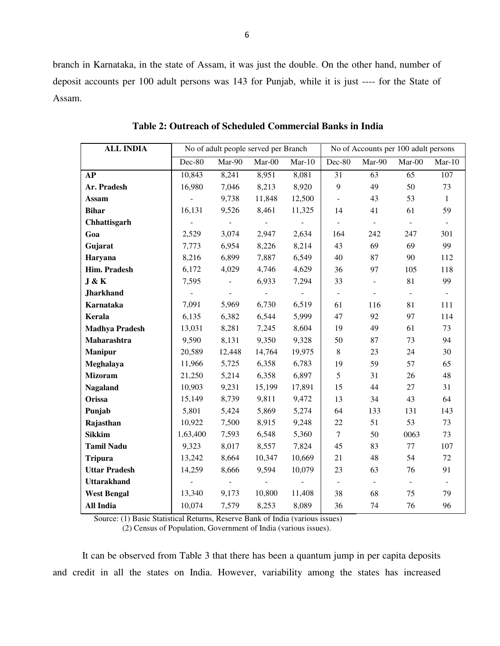branch in Karnataka, in the state of Assam, it was just the double. On the other hand, number of deposit accounts per 100 adult persons was 143 for Punjab, while it is just ---- for the State of Assam.

| <b>ALL INDIA</b>      |                     |                          | No of adult people served per Branch |          | No of Accounts per 100 adult persons |                |                |              |
|-----------------------|---------------------|--------------------------|--------------------------------------|----------|--------------------------------------|----------------|----------------|--------------|
|                       | Dec-80              | Mar-90                   | $Mar-00$                             | $Mar-10$ | Dec-80                               | Mar-90         | $Mar-00$       | $Mar-10$     |
| AP                    | 10,843              | 8,241                    | 8,951                                | 8,081    | 31                                   | 63             | 65             | 107          |
| Ar. Pradesh           | 16,980              | 7,046                    | 8,213                                | 8,920    | 9                                    | 49             | 50             | 73           |
| Assam                 | $\overline{a}$      | 9,738                    | 11,848                               | 12,500   | $\equiv$                             | 43             | 53             | $\mathbf{1}$ |
| <b>Bihar</b>          | 16,131              | 9,526                    | 8,461                                | 11,325   | 14                                   | 41             | 61             | 59           |
| Chhattisgarh          | $\bar{\phantom{a}}$ | $\sim$ $-$               | $\sim$                               | $\omega$ | $\sim$                               | $\sim$         | $\sim$         | $\sim$       |
| Goa                   | 2,529               | 3,074                    | 2,947                                | 2,634    | 164                                  | 242            | 247            | 301          |
| Gujarat               | 7,773               | 6,954                    | 8,226                                | 8,214    | 43                                   | 69             | 69             | 99           |
| Haryana               | 8,216               | 6,899                    | 7,887                                | 6,549    | 40                                   | 87             | 90             | 112          |
| Him. Pradesh          | 6,172               | 4,029                    | 4,746                                | 4,629    | 36                                   | 97             | 105            | 118          |
| J & K                 | 7,595               | $\equiv$                 | 6,933                                | 7,294    | 33                                   | $\equiv$       | 81             | 99           |
| <b>Jharkhand</b>      |                     | $\overline{\phantom{a}}$ | $\sim$                               | $\sim$   | $\sim$                               | $\blacksquare$ | $\blacksquare$ | $\sim$       |
| Karnataka             | 7,091               | 5,969                    | 6,730                                | 6,519    | 61                                   | 116            | 81             | 111          |
| Kerala                | 6,135               | 6,382                    | 6,544                                | 5,999    | 47                                   | 92             | 97             | 114          |
| <b>Madhya Pradesh</b> | 13,031              | 8,281                    | 7,245                                | 8,604    | 19                                   | 49             | 61             | 73           |
| Maharashtra           | 9,590               | 8,131                    | 9,350                                | 9,328    | 50                                   | 87             | 73             | 94           |
| <b>Manipur</b>        | 20,589              | 12,448                   | 14,764                               | 19,975   | 8                                    | 23             | 24             | 30           |
| Meghalaya             | 11,966              | 5,725                    | 6,358                                | 6,783    | 19                                   | 59             | 57             | 65           |
| <b>Mizoram</b>        | 21,250              | 5,214                    | 6,358                                | 6,897    | 5                                    | 31             | 26             | 48           |
| <b>Nagaland</b>       | 10,903              | 9,231                    | 15,199                               | 17,891   | 15                                   | 44             | 27             | 31           |
| Orissa                | 15,149              | 8,739                    | 9,811                                | 9,472    | 13                                   | 34             | 43             | 64           |
| Punjab                | 5,801               | 5,424                    | 5,869                                | 5,274    | 64                                   | 133            | 131            | 143          |
| Rajasthan             | 10,922              | 7,500                    | 8,915                                | 9,248    | $22\,$                               | 51             | 53             | 73           |
| <b>Sikkim</b>         | 1,63,400            | 7,593                    | 6,548                                | 5,360    | $\tau$                               | 50             | 0063           | 73           |
| <b>Tamil Nadu</b>     | 9,323               | 8,017                    | 8,557                                | 7,824    | 45                                   | 83             | 77             | 107          |
| <b>Tripura</b>        | 13,242              | 8,664                    | 10,347                               | 10,669   | 21                                   | 48             | 54             | 72           |
| <b>Uttar Pradesh</b>  | 14,259              | 8,666                    | 9,594                                | 10,079   | 23                                   | 63             | 76             | 91           |
| <b>Uttarakhand</b>    |                     |                          |                                      |          | $\sim$                               | $\blacksquare$ | $\blacksquare$ |              |
| <b>West Bengal</b>    | 13,340              | 9,173                    | 10,800                               | 11,408   | 38                                   | 68             | 75             | 79           |
| <b>All India</b>      | 10,074              | 7,579                    | 8,253                                | 8,089    | 36                                   | 74             | 76             | 96           |

**Table 2: Outreach of Scheduled Commercial Banks in India** 

Source: (1) Basic Statistical Returns, Reserve Bank of India (various issues)

(2) Census of Population, Government of India (various issues).

It can be observed from Table 3 that there has been a quantum jump in per capita deposits and credit in all the states on India. However, variability among the states has increased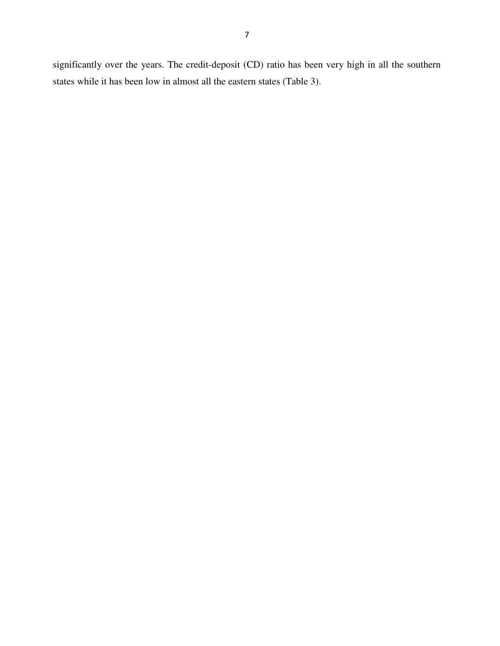significantly over the years. The credit-deposit (CD) ratio has been very high in all the southern states while it has been low in almost all the eastern states (Table 3).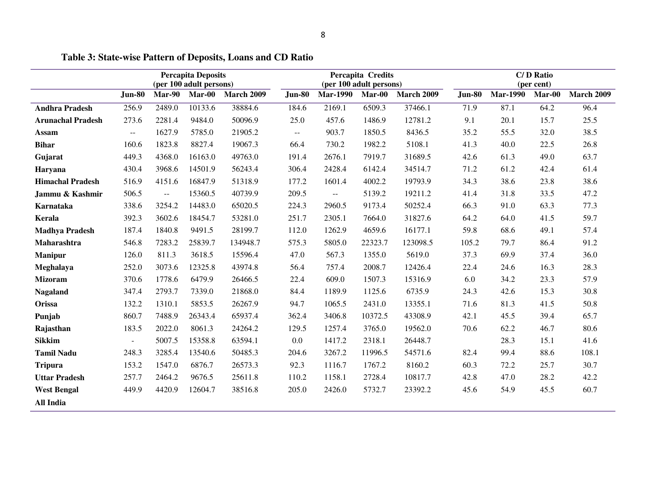|                          |                |               | <b>Percapita Deposits</b><br>(per 100 adult persons) |                   |                | (per 100 adult persons) | Percapita Credits |                   |               | C/D Ratio<br>(per cent) |        |                   |  |
|--------------------------|----------------|---------------|------------------------------------------------------|-------------------|----------------|-------------------------|-------------------|-------------------|---------------|-------------------------|--------|-------------------|--|
|                          | <b>Jun-80</b>  | <b>Mar-90</b> | $Mar-00$                                             | <b>March 2009</b> | <b>Jun-80</b>  | <b>Mar-1990</b>         | $Mar-00$          | <b>March 2009</b> | <b>Jun-80</b> | <b>Mar-1990</b>         | Mar-00 | <b>March 2009</b> |  |
| <b>Andhra Pradesh</b>    | 256.9          | 2489.0        | 10133.6                                              | 38884.6           | 184.6          | 2169.1                  | 6509.3            | 37466.1           | 71.9          | 87.1                    | 64.2   | 96.4              |  |
| <b>Arunachal Pradesh</b> | 273.6          | 2281.4        | 9484.0                                               | 50096.9           | 25.0           | 457.6                   | 1486.9            | 12781.2           | 9.1           | 20.1                    | 15.7   | 25.5              |  |
| <b>Assam</b>             | --             | 1627.9        | 5785.0                                               | 21905.2           | $\overline{a}$ | 903.7                   | 1850.5            | 8436.5            | 35.2          | 55.5                    | 32.0   | 38.5              |  |
| <b>Bihar</b>             | 160.6          | 1823.8        | 8827.4                                               | 19067.3           | 66.4           | 730.2                   | 1982.2            | 5108.1            | 41.3          | 40.0                    | 22.5   | 26.8              |  |
| Gujarat                  | 449.3          | 4368.0        | 16163.0                                              | 49763.0           | 191.4          | 2676.1                  | 7919.7            | 31689.5           | 42.6          | 61.3                    | 49.0   | 63.7              |  |
| Haryana                  | 430.4          | 3968.6        | 14501.9                                              | 56243.4           | 306.4          | 2428.4                  | 6142.4            | 34514.7           | 71.2          | 61.2                    | 42.4   | 61.4              |  |
| <b>Himachal Pradesh</b>  | 516.9          | 4151.6        | 16847.9                                              | 51318.9           | 177.2          | 1601.4                  | 4002.2            | 19793.9           | 34.3          | 38.6                    | 23.8   | 38.6              |  |
| Jammu & Kashmir          | 506.5          | $\sim$ $\sim$ | 15360.5                                              | 40739.9           | 209.5          | $\mathbb{L} \mathbb{L}$ | 5139.2            | 19211.2           | 41.4          | 31.8                    | 33.5   | 47.2              |  |
| Karnataka                | 338.6          | 3254.2        | 14483.0                                              | 65020.5           | 224.3          | 2960.5                  | 9173.4            | 50252.4           | 66.3          | 91.0                    | 63.3   | 77.3              |  |
| Kerala                   | 392.3          | 3602.6        | 18454.7                                              | 53281.0           | 251.7          | 2305.1                  | 7664.0            | 31827.6           | 64.2          | 64.0                    | 41.5   | 59.7              |  |
| <b>Madhya Pradesh</b>    | 187.4          | 1840.8        | 9491.5                                               | 28199.7           | 112.0          | 1262.9                  | 4659.6            | 16177.1           | 59.8          | 68.6                    | 49.1   | 57.4              |  |
| Maharashtra              | 546.8          | 7283.2        | 25839.7                                              | 134948.7          | 575.3          | 5805.0                  | 22323.7           | 123098.5          | 105.2         | 79.7                    | 86.4   | 91.2              |  |
| <b>Manipur</b>           | 126.0          | 811.3         | 3618.5                                               | 15596.4           | 47.0           | 567.3                   | 1355.0            | 5619.0            | 37.3          | 69.9                    | 37.4   | 36.0              |  |
| Meghalaya                | 252.0          | 3073.6        | 12325.8                                              | 43974.8           | 56.4           | 757.4                   | 2008.7            | 12426.4           | 22.4          | 24.6                    | 16.3   | 28.3              |  |
| <b>Mizoram</b>           | 370.6          | 1778.6        | 6479.9                                               | 26466.5           | 22.4           | 609.0                   | 1507.3            | 15316.9           | 6.0           | 34.2                    | 23.3   | 57.9              |  |
| <b>Nagaland</b>          | 347.4          | 2793.7        | 7339.0                                               | 21868.0           | 84.4           | 1189.9                  | 1125.6            | 6735.9            | 24.3          | 42.6                    | 15.3   | 30.8              |  |
| Orissa                   | 132.2          | 1310.1        | 5853.5                                               | 26267.9           | 94.7           | 1065.5                  | 2431.0            | 13355.1           | 71.6          | 81.3                    | 41.5   | 50.8              |  |
| Punjab                   | 860.7          | 7488.9        | 26343.4                                              | 65937.4           | 362.4          | 3406.8                  | 10372.5           | 43308.9           | 42.1          | 45.5                    | 39.4   | 65.7              |  |
| Rajasthan                | 183.5          | 2022.0        | 8061.3                                               | 24264.2           | 129.5          | 1257.4                  | 3765.0            | 19562.0           | 70.6          | 62.2                    | 46.7   | 80.6              |  |
| <b>Sikkim</b>            | $\blacksquare$ | 5007.5        | 15358.8                                              | 63594.1           | 0.0            | 1417.2                  | 2318.1            | 26448.7           |               | 28.3                    | 15.1   | 41.6              |  |
| <b>Tamil Nadu</b>        | 248.3          | 3285.4        | 13540.6                                              | 50485.3           | 204.6          | 3267.2                  | 11996.5           | 54571.6           | 82.4          | 99.4                    | 88.6   | 108.1             |  |
| <b>Tripura</b>           | 153.2          | 1547.0        | 6876.7                                               | 26573.3           | 92.3           | 1116.7                  | 1767.2            | 8160.2            | 60.3          | 72.2                    | 25.7   | 30.7              |  |
| <b>Uttar Pradesh</b>     | 257.7          | 2464.2        | 9676.5                                               | 25611.8           | 110.2          | 1158.1                  | 2728.4            | 10817.7           | 42.8          | 47.0                    | 28.2   | 42.2              |  |
| <b>West Bengal</b>       | 449.9          | 4420.9        | 12604.7                                              | 38516.8           | 205.0          | 2426.0                  | 5732.7            | 23392.2           | 45.6          | 54.9                    | 45.5   | 60.7              |  |
| <b>All India</b>         |                |               |                                                      |                   |                |                         |                   |                   |               |                         |        |                   |  |

## **Table 3: State-wise Pattern of Deposits, Loans and CD Ratio**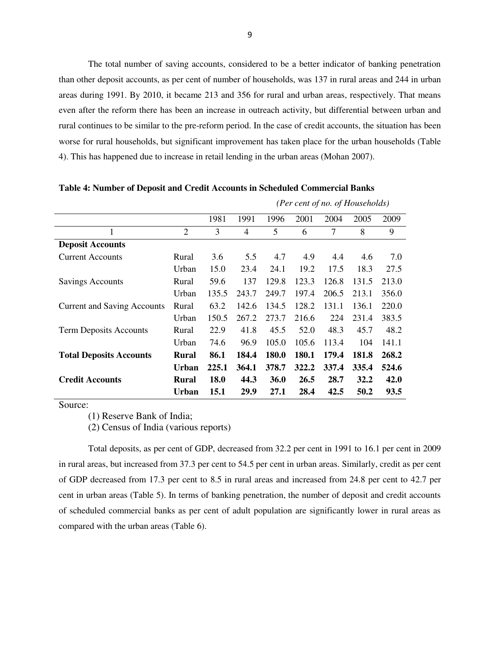The total number of saving accounts, considered to be a better indicator of banking penetration than other deposit accounts, as per cent of number of households, was 137 in rural areas and 244 in urban areas during 1991. By 2010, it became 213 and 356 for rural and urban areas, respectively. That means even after the reform there has been an increase in outreach activity, but differential between urban and rural continues to be similar to the pre-reform period. In the case of credit accounts, the situation has been worse for rural households, but significant improvement has taken place for the urban households (Table 4). This has happened due to increase in retail lending in the urban areas (Mohan 2007).

|                                    |                |       | (Per cent of no. of Households) |             |       |       |       |       |  |  |
|------------------------------------|----------------|-------|---------------------------------|-------------|-------|-------|-------|-------|--|--|
|                                    |                | 1981  | 1991                            | 1996        | 2001  | 2004  | 2005  | 2009  |  |  |
|                                    | $\overline{2}$ | 3     | $\overline{4}$                  | 5           | 6     | 7     | 8     | 9     |  |  |
| <b>Deposit Accounts</b>            |                |       |                                 |             |       |       |       |       |  |  |
| <b>Current Accounts</b>            | Rural          | 3.6   | 5.5                             | 4.7         | 4.9   | 4.4   | 4.6   | 7.0   |  |  |
|                                    | Urban          | 15.0  | 23.4                            | 24.1        | 19.2  | 17.5  | 18.3  | 27.5  |  |  |
| <b>Savings Accounts</b>            | Rural          | 59.6  | 137                             | 129.8       | 123.3 | 126.8 | 131.5 | 213.0 |  |  |
|                                    | Urban          | 135.5 | 243.7                           | 249.7       | 197.4 | 206.5 | 213.1 | 356.0 |  |  |
| <b>Current and Saving Accounts</b> | Rural          | 63.2  | 142.6                           | 134.5       | 128.2 | 131.1 | 136.1 | 220.0 |  |  |
|                                    | Urban          | 150.5 | 267.2                           | 273.7       | 216.6 | 224   | 231.4 | 383.5 |  |  |
| <b>Term Deposits Accounts</b>      | Rural          | 22.9  | 41.8                            | 45.5        | 52.0  | 48.3  | 45.7  | 48.2  |  |  |
|                                    | Urban          | 74.6  | 96.9                            | 105.0       | 105.6 | 113.4 | 104   | 141.1 |  |  |
| <b>Total Deposits Accounts</b>     | Rural          | 86.1  | 184.4                           | 180.0       | 180.1 | 179.4 | 181.8 | 268.2 |  |  |
|                                    | Urban          | 225.1 | 364.1                           | 378.7       | 322.2 | 337.4 | 335.4 | 524.6 |  |  |
| <b>Credit Accounts</b>             | Rural          | 18.0  | 44.3                            | <b>36.0</b> | 26.5  | 28.7  | 32.2  | 42.0  |  |  |
|                                    | Urban          | 15.1  | 29.9                            | 27.1        | 28.4  | 42.5  | 50.2  | 93.5  |  |  |

**Table 4: Number of Deposit and Credit Accounts in Scheduled Commercial Banks** 

Source:

(1) Reserve Bank of India;

(2) Census of India (various reports)

Total deposits, as per cent of GDP, decreased from 32.2 per cent in 1991 to 16.1 per cent in 2009 in rural areas, but increased from 37.3 per cent to 54.5 per cent in urban areas. Similarly, credit as per cent of GDP decreased from 17.3 per cent to 8.5 in rural areas and increased from 24.8 per cent to 42.7 per cent in urban areas (Table 5). In terms of banking penetration, the number of deposit and credit accounts of scheduled commercial banks as per cent of adult population are significantly lower in rural areas as compared with the urban areas (Table 6).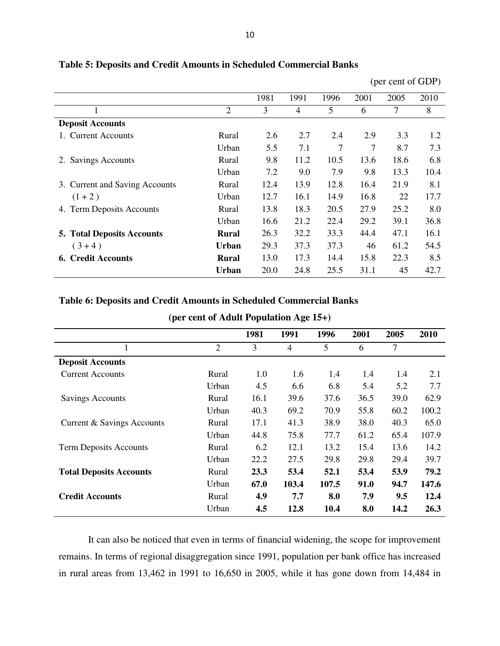|                                   |                | 1981 | 1991           | 1996 | 2001 | 2005 | 2010 |
|-----------------------------------|----------------|------|----------------|------|------|------|------|
|                                   | $\overline{2}$ | 3    | $\overline{4}$ | 5    | 6    | 7    | 8    |
| <b>Deposit Accounts</b>           |                |      |                |      |      |      |      |
| 1. Current Accounts               | Rural          | 2.6  | 2.7            | 2.4  | 2.9  | 3.3  | 1.2  |
|                                   | Urban          | 5.5  | 7.1            | 7    | 7    | 8.7  | 7.3  |
| <b>Savings Accounts</b><br>2.     | Rural          | 9.8  | 11.2           | 10.5 | 13.6 | 18.6 | 6.8  |
|                                   | Urban          | 7.2  | 9.0            | 7.9  | 9.8  | 13.3 | 10.4 |
| 3. Current and Saving Accounts    | Rural          | 12.4 | 13.9           | 12.8 | 16.4 | 21.9 | 8.1  |
| $(1 + 2)$                         | Urban          | 12.7 | 16.1           | 14.9 | 16.8 | 22   | 17.7 |
| 4. Term Deposits Accounts         | Rural          | 13.8 | 18.3           | 20.5 | 27.9 | 25.2 | 8.0  |
|                                   | Urban          | 16.6 | 21.2           | 22.4 | 29.2 | 39.1 | 36.8 |
| <b>5. Total Deposits Accounts</b> | Rural          | 26.3 | 32.2           | 33.3 | 44.4 | 47.1 | 16.1 |
| $(3+4)$                           | Urban          | 29.3 | 37.3           | 37.3 | 46   | 61.2 | 54.5 |
| <b>6. Credit Accounts</b>         | <b>Rural</b>   | 13.0 | 17.3           | 14.4 | 15.8 | 22.3 | 8.5  |
|                                   | <b>Urban</b>   | 20.0 | 24.8           | 25.5 | 31.1 | 45   | 42.7 |
|                                   |                |      |                |      |      |      |      |

## **Table 5: Deposits and Credit Amounts in Scheduled Commercial Banks**

(per cent of GDP)

## **Table 6: Deposits and Credit Amounts in Scheduled Commercial Banks**

| (per cent of <i>fromt</i> 1 optimation $f(\xi)$ 15 $\eta$ |                |      |       |       |      |      |       |  |  |  |
|-----------------------------------------------------------|----------------|------|-------|-------|------|------|-------|--|--|--|
|                                                           |                | 1981 | 1991  | 1996  | 2001 | 2005 | 2010  |  |  |  |
|                                                           | $\overline{2}$ | 3    | 4     | 5     | 6    | 7    |       |  |  |  |
| <b>Deposit Accounts</b>                                   |                |      |       |       |      |      |       |  |  |  |
| <b>Current Accounts</b>                                   | Rural          | 1.0  | 1.6   | 1.4   | 1.4  | 1.4  | 2.1   |  |  |  |
|                                                           | Urban          | 4.5  | 6.6   | 6.8   | 5.4  | 5.2  | 7.7   |  |  |  |
| <b>Savings Accounts</b>                                   | Rural          | 16.1 | 39.6  | 37.6  | 36.5 | 39.0 | 62.9  |  |  |  |
|                                                           | Urban          | 40.3 | 69.2  | 70.9  | 55.8 | 60.2 | 100.2 |  |  |  |
| Current & Savings Accounts                                | Rural          | 17.1 | 41.3  | 38.9  | 38.0 | 40.3 | 65.0  |  |  |  |
|                                                           | Urban          | 44.8 | 75.8  | 77.7  | 61.2 | 65.4 | 107.9 |  |  |  |
| <b>Term Deposits Accounts</b>                             | Rural          | 6.2  | 12.1  | 13.2  | 15.4 | 13.6 | 14.2  |  |  |  |
|                                                           | Urban          | 22.2 | 27.5  | 29.8  | 29.8 | 29.4 | 39.7  |  |  |  |
| <b>Total Deposits Accounts</b>                            | Rural          | 23.3 | 53.4  | 52.1  | 53.4 | 53.9 | 79.2  |  |  |  |
|                                                           | Urban          | 67.0 | 103.4 | 107.5 | 91.0 | 94.7 | 147.6 |  |  |  |
| <b>Credit Accounts</b>                                    | Rural          | 4.9  | 7.7   | 8.0   | 7.9  | 9.5  | 12.4  |  |  |  |
|                                                           | Urban          | 4.5  | 12.8  | 10.4  | 8.0  | 14.2 | 26.3  |  |  |  |

## **(per cent of Adult Population Age 15+)**

It can also be noticed that even in terms of financial widening, the scope for improvement remains. In terms of regional disaggregation since 1991, population per bank office has increased in rural areas from 13,462 in 1991 to 16,650 in 2005, while it has gone down from 14,484 in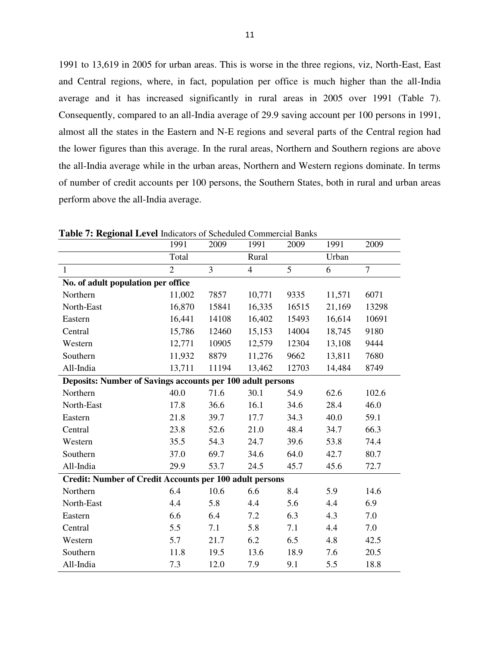1991 to 13,619 in 2005 for urban areas. This is worse in the three regions, viz, North-East, East and Central regions, where, in fact, population per office is much higher than the all-India average and it has increased significantly in rural areas in 2005 over 1991 (Table 7). Consequently, compared to an all-India average of 29.9 saving account per 100 persons in 1991, almost all the states in the Eastern and N-E regions and several parts of the Central region had the lower figures than this average. In the rural areas, Northern and Southern regions are above the all-India average while in the urban areas, Northern and Western regions dominate. In terms of number of credit accounts per 100 persons, the Southern States, both in rural and urban areas perform above the all-India average.

|                                                                | 1991           | 2009  | 1991           | 2009           | 1991   | 2009           |  |  |  |
|----------------------------------------------------------------|----------------|-------|----------------|----------------|--------|----------------|--|--|--|
|                                                                | Total          |       | Rural          |                | Urban  |                |  |  |  |
| $\mathbf{1}$                                                   | $\overline{2}$ | 3     | $\overline{4}$ | $\overline{5}$ | 6      | $\overline{7}$ |  |  |  |
| No. of adult population per office                             |                |       |                |                |        |                |  |  |  |
| Northern                                                       | 11,002         | 7857  | 10,771         | 9335           | 11,571 | 6071           |  |  |  |
| North-East                                                     | 16,870         | 15841 | 16,335         | 16515          | 21,169 | 13298          |  |  |  |
| Eastern                                                        | 16,441         | 14108 | 16,402         | 15493          | 16,614 | 10691          |  |  |  |
| Central                                                        | 15,786         | 12460 | 15,153         | 14004          | 18,745 | 9180           |  |  |  |
| Western                                                        | 12,771         | 10905 | 12,579         | 12304          | 13,108 | 9444           |  |  |  |
| Southern                                                       | 11,932         | 8879  | 11,276         | 9662           | 13,811 | 7680           |  |  |  |
| All-India                                                      | 13,711         | 11194 | 13,462         | 12703          | 14,484 | 8749           |  |  |  |
| Deposits: Number of Savings accounts per 100 adult persons     |                |       |                |                |        |                |  |  |  |
| Northern                                                       | 40.0           | 71.6  | 30.1           | 54.9           | 62.6   | 102.6          |  |  |  |
| North-East                                                     | 17.8           | 36.6  | 16.1           | 34.6           | 28.4   | 46.0           |  |  |  |
| Eastern                                                        | 21.8           | 39.7  | 17.7           | 34.3           | 40.0   | 59.1           |  |  |  |
| Central                                                        | 23.8           | 52.6  | 21.0           | 48.4           | 34.7   | 66.3           |  |  |  |
| Western                                                        | 35.5           | 54.3  | 24.7           | 39.6           | 53.8   | 74.4           |  |  |  |
| Southern                                                       | 37.0           | 69.7  | 34.6           | 64.0           | 42.7   | 80.7           |  |  |  |
| All-India                                                      | 29.9           | 53.7  | 24.5           | 45.7           | 45.6   | 72.7           |  |  |  |
| <b>Credit: Number of Credit Accounts per 100 adult persons</b> |                |       |                |                |        |                |  |  |  |
| Northern                                                       | 6.4            | 10.6  | 6.6            | 8.4            | 5.9    | 14.6           |  |  |  |
| North-East                                                     | 4.4            | 5.8   | 4.4            | 5.6            | 4.4    | 6.9            |  |  |  |
| Eastern                                                        | 6.6            | 6.4   | 7.2            | 6.3            | 4.3    | 7.0            |  |  |  |
| Central                                                        | 5.5            | 7.1   | 5.8            | 7.1            | 4.4    | 7.0            |  |  |  |
| Western                                                        | 5.7            | 21.7  | 6.2            | 6.5            | 4.8    | 42.5           |  |  |  |
| Southern                                                       | 11.8           | 19.5  | 13.6           | 18.9           | 7.6    | 20.5           |  |  |  |
| All-India                                                      | 7.3            | 12.0  | 7.9            | 9.1            | 5.5    | 18.8           |  |  |  |

**Table 7: Regional Level** Indicators of Scheduled Commercial Banks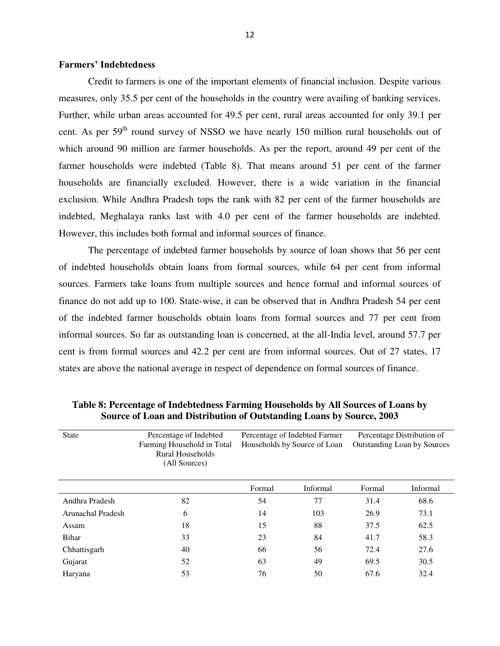#### **Farmers' Indebtedness**

Credit to farmers is one of the important elements of financial inclusion. Despite various measures, only 35.5 per cent of the households in the country were availing of banking services. Further, while urban areas accounted for 49.5 per cent, rural areas accounted for only 39.1 per cent. As per 59<sup>th</sup> round survey of NSSO we have nearly 150 million rural households out of which around 90 million are farmer households. As per the report, around 49 per cent of the farmer households were indebted (Table 8). That means around 51 per cent of the farmer households are financially excluded. However, there is a wide variation in the financial exclusion. While Andhra Pradesh tops the rank with 82 per cent of the farmer households are indebted, Meghalaya ranks last with 4.0 per cent of the farmer households are indebted. However, this includes both formal and informal sources of finance.

The percentage of indebted farmer households by source of loan shows that 56 per cent of indebted households obtain loans from formal sources, while 64 per cent from informal sources. Farmers take loans from multiple sources and hence formal and informal sources of finance do not add up to 100. State-wise, it can be observed that in Andhra Pradesh 54 per cent of the indebted farmer households obtain loans from formal sources and 77 per cent from informal sources. So far as outstanding loan is concerned, at the all-India level, around 57.7 per cent is from formal sources and 42.2 per cent are from informal sources. Out of 27 states, 17 states are above the national average in respect of dependence on formal sources of finance.

| <b>State</b>      | Percentage of Indebted<br>Farming Household in Total<br>Rural Households<br>(All Sources) | Percentage of Indebted Farmer<br>Households by Source of Loan |          | Percentage Distribution of<br>Outstanding Loan by Sources |          |  |
|-------------------|-------------------------------------------------------------------------------------------|---------------------------------------------------------------|----------|-----------------------------------------------------------|----------|--|
|                   |                                                                                           | Formal                                                        | Informal | Formal                                                    | Informal |  |
| Andhra Pradesh    | 82                                                                                        | 54                                                            | 77       | 31.4                                                      | 68.6     |  |
| Arunachal Pradesh | 6                                                                                         | 14                                                            | 103      | 26.9                                                      | 73.1     |  |
| Assam             | 18                                                                                        | 15                                                            | 88       | 37.5                                                      | 62.5     |  |
| <b>Bihar</b>      | 33                                                                                        | 23                                                            | 84       | 41.7                                                      | 58.3     |  |
| Chhattisgarh      | 40                                                                                        | 66                                                            | 56       | 72.4                                                      | 27.6     |  |
| Gujarat           | 52                                                                                        | 63                                                            | 49       | 69.5                                                      | 30.5     |  |
| Haryana           | 53                                                                                        | 76                                                            | 50       | 67.6                                                      | 32.4     |  |

**Table 8: Percentage of Indebtedness Farming Households by All Sources of Loans by Source of Loan and Distribution of Outstanding Loans by Source, 2003**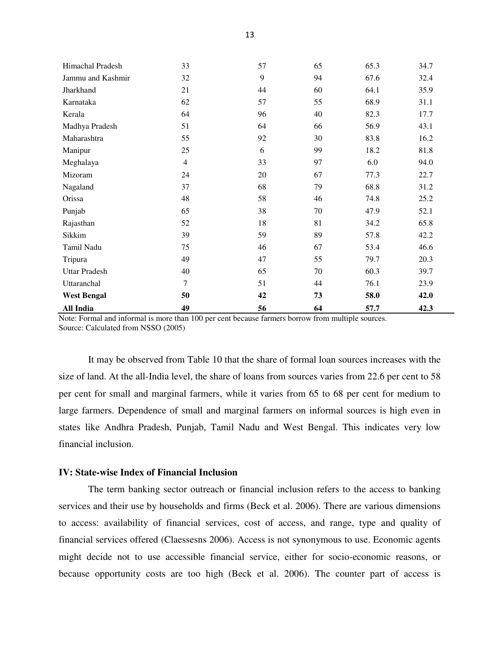| Himachal Pradesh     | 33             | 57 | 65 | 65.3 | 34.7 |
|----------------------|----------------|----|----|------|------|
| Jammu and Kashmir    | 32             | 9  | 94 | 67.6 | 32.4 |
| Jharkhand            | 21             | 44 | 60 | 64.1 | 35.9 |
| Karnataka            | 62             | 57 | 55 | 68.9 | 31.1 |
| Kerala               | 64             | 96 | 40 | 82.3 | 17.7 |
| Madhya Pradesh       | 51             | 64 | 66 | 56.9 | 43.1 |
| Maharashtra          | 55             | 92 | 30 | 83.8 | 16.2 |
| Manipur              | 25             | 6  | 99 | 18.2 | 81.8 |
| Meghalaya            | $\overline{4}$ | 33 | 97 | 6.0  | 94.0 |
| Mizoram              | 24             | 20 | 67 | 77.3 | 22.7 |
| Nagaland             | 37             | 68 | 79 | 68.8 | 31.2 |
| Orissa               | 48             | 58 | 46 | 74.8 | 25.2 |
| Punjab               | 65             | 38 | 70 | 47.9 | 52.1 |
| Rajasthan            | 52             | 18 | 81 | 34.2 | 65.8 |
| Sikkim               | 39             | 59 | 89 | 57.8 | 42.2 |
| Tamil Nadu           | 75             | 46 | 67 | 53.4 | 46.6 |
| Tripura              | 49             | 47 | 55 | 79.7 | 20.3 |
| <b>Uttar Pradesh</b> | 40             | 65 | 70 | 60.3 | 39.7 |
| Uttaranchal          | 7              | 51 | 44 | 76.1 | 23.9 |
| <b>West Bengal</b>   | 50             | 42 | 73 | 58.0 | 42.0 |
| <b>All India</b>     | 49             | 56 | 64 | 57.7 | 42.3 |

Note: Formal and informal is more than 100 per cent because farmers borrow from multiple sources. Source: Calculated from NSSO (2005)

It may be observed from Table 10 that the share of formal loan sources increases with the size of land. At the all-India level, the share of loans from sources varies from 22.6 per cent to 58 per cent for small and marginal farmers, while it varies from 65 to 68 per cent for medium to large farmers. Dependence of small and marginal farmers on informal sources is high even in states like Andhra Pradesh, Punjab, Tamil Nadu and West Bengal. This indicates very low financial inclusion.

## **IV: State-wise Index of Financial Inclusion**

 The term banking sector outreach or financial inclusion refers to the access to banking services and their use by households and firms (Beck et al. 2006). There are various dimensions to access: availability of financial services, cost of access, and range, type and quality of financial services offered (Claessesns 2006). Access is not synonymous to use. Economic agents might decide not to use accessible financial service, either for socio-economic reasons, or because opportunity costs are too high (Beck et al. 2006). The counter part of access is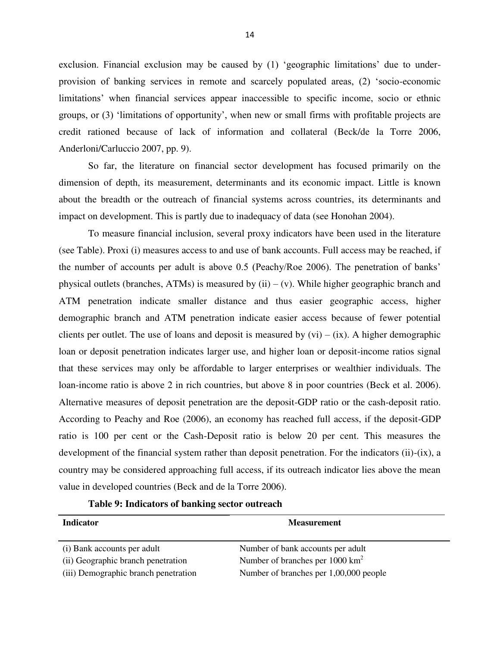exclusion. Financial exclusion may be caused by (1) 'geographic limitations' due to underprovision of banking services in remote and scarcely populated areas, (2) "socio-economic limitations' when financial services appear inaccessible to specific income, socio or ethnic groups, or (3) "limitations of opportunity", when new or small firms with profitable projects are credit rationed because of lack of information and collateral (Beck/de la Torre 2006, Anderloni/Carluccio 2007, pp. 9).

So far, the literature on financial sector development has focused primarily on the dimension of depth, its measurement, determinants and its economic impact. Little is known about the breadth or the outreach of financial systems across countries, its determinants and impact on development. This is partly due to inadequacy of data (see Honohan 2004).

To measure financial inclusion, several proxy indicators have been used in the literature (see Table). Proxi (i) measures access to and use of bank accounts. Full access may be reached, if the number of accounts per adult is above 0.5 (Peachy/Roe 2006). The penetration of banks" physical outlets (branches, ATMs) is measured by (ii) – (v). While higher geographic branch and ATM penetration indicate smaller distance and thus easier geographic access, higher demographic branch and ATM penetration indicate easier access because of fewer potential clients per outlet. The use of loans and deposit is measured by  $(vi) - (ix)$ . A higher demographic loan or deposit penetration indicates larger use, and higher loan or deposit-income ratios signal that these services may only be affordable to larger enterprises or wealthier individuals. The loan-income ratio is above 2 in rich countries, but above 8 in poor countries (Beck et al. 2006). Alternative measures of deposit penetration are the deposit-GDP ratio or the cash-deposit ratio. According to Peachy and Roe (2006), an economy has reached full access, if the deposit-GDP ratio is 100 per cent or the Cash-Deposit ratio is below 20 per cent. This measures the development of the financial system rather than deposit penetration. For the indicators (ii)-(ix), a country may be considered approaching full access, if its outreach indicator lies above the mean value in developed countries (Beck and de la Torre 2006).

| <b>Indicator</b>                     | <b>Measurement</b>                          |
|--------------------------------------|---------------------------------------------|
| (i) Bank accounts per adult          | Number of bank accounts per adult           |
| (ii) Geographic branch penetration   | Number of branches per 1000 km <sup>2</sup> |
| (iii) Demographic branch penetration | Number of branches per 1,00,000 people      |

## **Table 9: Indicators of banking sector outreach**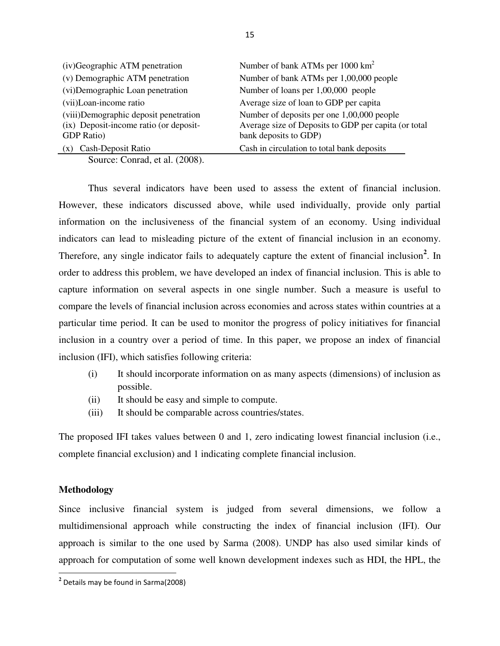| (iv)Geographic ATM penetration                                                                       | Number of bank ATMs per 1000 km <sup>2</sup>                                                                                |
|------------------------------------------------------------------------------------------------------|-----------------------------------------------------------------------------------------------------------------------------|
| (v) Demographic ATM penetration                                                                      | Number of bank ATMs per 1,00,000 people                                                                                     |
| (vi) Demographic Loan penetration                                                                    | Number of loans per 1,00,000 people                                                                                         |
| (vii)Loan-income ratio                                                                               | Average size of loan to GDP per capita                                                                                      |
| (viii)Demographic deposit penetration<br>(ix) Deposit-income ratio (or deposit-<br><b>GDP</b> Ratio) | Number of deposits per one 1,00,000 people<br>Average size of Deposits to GDP per capita (or total<br>bank deposits to GDP) |
| (x) Cash-Deposit Ratio                                                                               | Cash in circulation to total bank deposits                                                                                  |

Source: Conrad, et al. (2008).

Thus several indicators have been used to assess the extent of financial inclusion. However, these indicators discussed above, while used individually, provide only partial information on the inclusiveness of the financial system of an economy. Using individual indicators can lead to misleading picture of the extent of financial inclusion in an economy. Therefore, any single indicator fails to adequately capture the extent of financial inclusion<sup>2</sup>. In order to address this problem, we have developed an index of financial inclusion. This is able to capture information on several aspects in one single number. Such a measure is useful to compare the levels of financial inclusion across economies and across states within countries at a particular time period. It can be used to monitor the progress of policy initiatives for financial inclusion in a country over a period of time. In this paper, we propose an index of financial inclusion (IFI), which satisfies following criteria:

- (i) It should incorporate information on as many aspects (dimensions) of inclusion as possible.
- (ii) It should be easy and simple to compute.
- (iii) It should be comparable across countries/states.

The proposed IFI takes values between 0 and 1, zero indicating lowest financial inclusion (i.e., complete financial exclusion) and 1 indicating complete financial inclusion.

#### **Methodology**

l

Since inclusive financial system is judged from several dimensions, we follow a multidimensional approach while constructing the index of financial inclusion (IFI). Our approach is similar to the one used by Sarma (2008). UNDP has also used similar kinds of approach for computation of some well known development indexes such as HDI, the HPL, the

**<sup>2</sup>** Details may be found in Sarma(2008)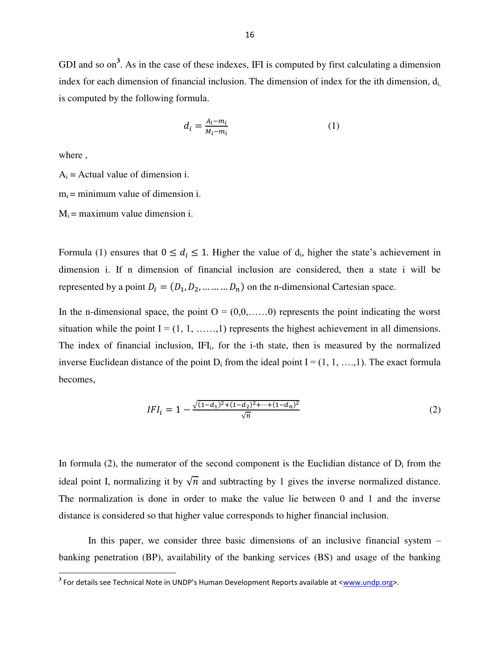GDI and so on<sup>3</sup>. As in the case of these indexes, IFI is computed by first calculating a dimension index for each dimension of financial inclusion. The dimension of index for the ith dimension,  $d_i$ is computed by the following formula.

$$
d_i = \frac{A_i - m_i}{M_i - m_i} \tag{1}
$$

where ,

 $A_i$  = Actual value of dimension i.

 $m_i$  = minimum value of dimension i.

 $M_i$  = maximum value dimension i.

Formula (1) ensures that  $0 \le d_i \le 1$ . Higher the value of  $d_i$ , higher the state's achievement in dimension i. If n dimension of financial inclusion are considered, then a state i will be represented by a point  $D_i = (D_1, D_2, ..., ..., D_n)$  on the n-dimensional Cartesian space.

In the n-dimensional space, the point  $O = (0,0,...,0)$  represents the point indicating the worst situation while the point  $I = (1, 1, \ldots, 1)$  represents the highest achievement in all dimensions. The index of financial inclusion, IFI<sub>i</sub>, for the i-th state, then is measured by the normalized inverse Euclidean distance of the point  $D_i$  from the ideal point  $I = (1, 1, \ldots, 1)$ . The exact formula becomes,

$$
IFI_{i} = 1 - \frac{\sqrt{(1 - d_{1})^{2} + (1 - d_{2})^{2} + \dots + (1 - d_{n})^{2}}}{\sqrt{n}}
$$
\n
$$
(2)
$$

In formula (2), the numerator of the second component is the Euclidian distance of  $D_i$  from the ideal point I, normalizing it by  $\sqrt{n}$  and subtracting by 1 gives the inverse normalized distance. The normalization is done in order to make the value lie between 0 and 1 and the inverse distance is considered so that higher value corresponds to higher financial inclusion.

 In this paper, we consider three basic dimensions of an inclusive financial system – banking penetration (BP), availability of the banking services (BS) and usage of the banking

**<sup>3</sup>**<br><sup>3</sup> For details see Technical Note in UNDP's Human Development Reports available at <<u>www.undp.org</u>>.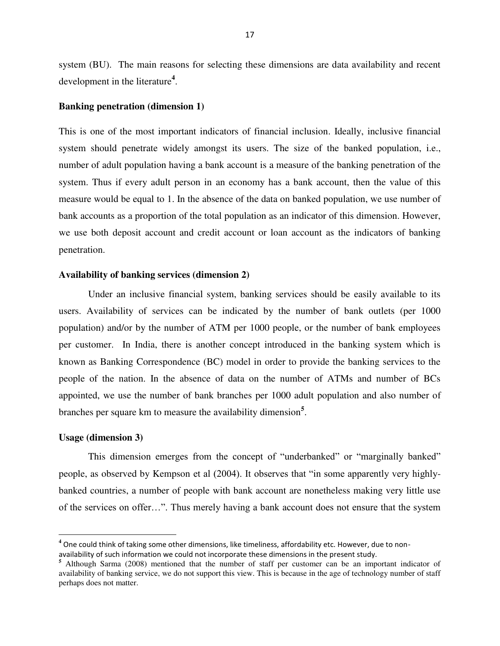system (BU). The main reasons for selecting these dimensions are data availability and recent development in the literature**<sup>4</sup>** .

#### **Banking penetration (dimension 1)**

This is one of the most important indicators of financial inclusion. Ideally, inclusive financial system should penetrate widely amongst its users. The size of the banked population, i.e., number of adult population having a bank account is a measure of the banking penetration of the system. Thus if every adult person in an economy has a bank account, then the value of this measure would be equal to 1. In the absence of the data on banked population, we use number of bank accounts as a proportion of the total population as an indicator of this dimension. However, we use both deposit account and credit account or loan account as the indicators of banking penetration.

#### **Availability of banking services (dimension 2)**

Under an inclusive financial system, banking services should be easily available to its users. Availability of services can be indicated by the number of bank outlets (per 1000 population) and/or by the number of ATM per 1000 people, or the number of bank employees per customer. In India, there is another concept introduced in the banking system which is known as Banking Correspondence (BC) model in order to provide the banking services to the people of the nation. In the absence of data on the number of ATMs and number of BCs appointed, we use the number of bank branches per 1000 adult population and also number of branches per square km to measure the availability dimension**<sup>5</sup>** .

#### **Usage (dimension 3)**

 $\overline{a}$ 

This dimension emerges from the concept of "underbanked" or "marginally banked" people, as observed by Kempson et al (2004). It observes that "in some apparently very highlybanked countries, a number of people with bank account are nonetheless making very little use of the services on offer…". Thus merely having a bank account does not ensure that the system

**<sup>4</sup>** One could think of taking some other dimensions, like timeliness, affordability etc. However, due to non-

availability of such information we could not incorporate these dimensions in the present study.<br><sup>5</sup> Although Sarma (2008) mentioned that the number of staff per customer can be an important indicator of availability of banking service, we do not support this view. This is because in the age of technology number of staff perhaps does not matter.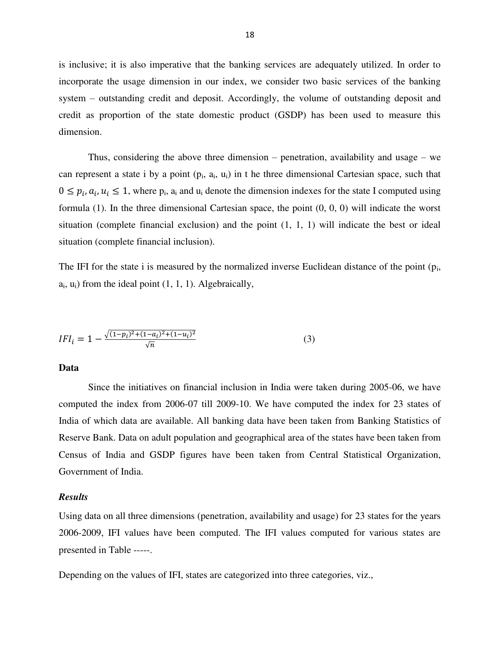is inclusive; it is also imperative that the banking services are adequately utilized. In order to incorporate the usage dimension in our index, we consider two basic services of the banking system – outstanding credit and deposit. Accordingly, the volume of outstanding deposit and credit as proportion of the state domestic product (GSDP) has been used to measure this dimension.

Thus, considering the above three dimension – penetration, availability and usage – we can represent a state i by a point  $(p_i, a_i, u_i)$  in t he three dimensional Cartesian space, such that  $0 \le p_i, a_i, u_i \le 1$ , where  $p_i$ ,  $a_i$  and  $u_i$  denote the dimension indexes for the state I computed using formula (1). In the three dimensional Cartesian space, the point (0, 0, 0) will indicate the worst situation (complete financial exclusion) and the point (1, 1, 1) will indicate the best or ideal situation (complete financial inclusion).

The IFI for the state i is measured by the normalized inverse Euclidean distance of the point  $(p_i, p_j)$  $a_i$ ,  $u_i$ ) from the ideal point  $(1, 1, 1)$ . Algebraically,

$$
IFI_{i} = 1 - \frac{\sqrt{(1-p_{i})^{2} + (1-a_{i})^{2} + (1-u_{i})^{2}}}{\sqrt{n}}
$$
\n(3)

**Data** 

Since the initiatives on financial inclusion in India were taken during 2005-06, we have computed the index from 2006-07 till 2009-10. We have computed the index for 23 states of India of which data are available. All banking data have been taken from Banking Statistics of Reserve Bank. Data on adult population and geographical area of the states have been taken from Census of India and GSDP figures have been taken from Central Statistical Organization, Government of India.

#### *Results*

Using data on all three dimensions (penetration, availability and usage) for 23 states for the years 2006-2009, IFI values have been computed. The IFI values computed for various states are presented in Table -----.

Depending on the values of IFI, states are categorized into three categories, viz.,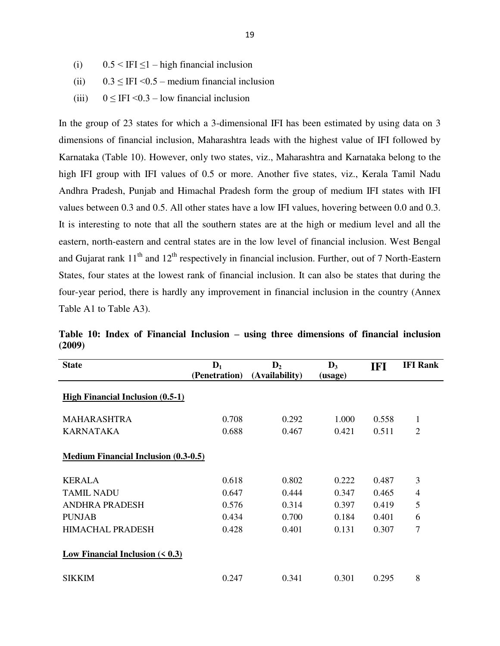- (i)  $0.5 < IFI \le 1 high financial inclusion$
- (ii)  $0.3 \leq IFI < 0.5$  medium financial inclusion
- (iii)  $0 \leq IFI < 0.3$  low financial inclusion

In the group of 23 states for which a 3-dimensional IFI has been estimated by using data on 3 dimensions of financial inclusion, Maharashtra leads with the highest value of IFI followed by Karnataka (Table 10). However, only two states, viz., Maharashtra and Karnataka belong to the high IFI group with IFI values of 0.5 or more. Another five states, viz., Kerala Tamil Nadu Andhra Pradesh, Punjab and Himachal Pradesh form the group of medium IFI states with IFI values between 0.3 and 0.5. All other states have a low IFI values, hovering between 0.0 and 0.3. It is interesting to note that all the southern states are at the high or medium level and all the eastern, north-eastern and central states are in the low level of financial inclusion. West Bengal and Gujarat rank  $11<sup>th</sup>$  and  $12<sup>th</sup>$  respectively in financial inclusion. Further, out of 7 North-Eastern States, four states at the lowest rank of financial inclusion. It can also be states that during the four-year period, there is hardly any improvement in financial inclusion in the country (Annex Table A1 to Table A3).

| <b>State</b>                                | $\mathbf{D}_1$<br>(Penetration) | $\mathbf{D}_2$<br>(Availability) | $\mathbf{D}_3$<br>(usage) | IFI   | <b>IFI Rank</b> |
|---------------------------------------------|---------------------------------|----------------------------------|---------------------------|-------|-----------------|
| <b>High Financial Inclusion (0.5-1)</b>     |                                 |                                  |                           |       |                 |
| <b>MAHARASHTRA</b>                          | 0.708                           | 0.292                            | 1.000                     | 0.558 | 1               |
| <b>KARNATAKA</b>                            | 0.688                           | 0.467                            | 0.421                     | 0.511 | 2               |
| <b>Medium Financial Inclusion (0.3-0.5)</b> |                                 |                                  |                           |       |                 |
| <b>KERALA</b>                               | 0.618                           | 0.802                            | 0.222                     | 0.487 | 3               |
| <b>TAMIL NADU</b>                           | 0.647                           | 0.444                            | 0.347                     | 0.465 | $\overline{4}$  |
| <b>ANDHRA PRADESH</b>                       | 0.576                           | 0.314                            | 0.397                     | 0.419 | 5               |
| <b>PUNJAB</b>                               | 0.434                           | 0.700                            | 0.184                     | 0.401 | 6               |
| <b>HIMACHAL PRADESH</b>                     | 0.428                           | 0.401                            | 0.131                     | 0.307 | 7               |
| Low Financial Inclusion $($ $0.3$ )         |                                 |                                  |                           |       |                 |
| <b>SIKKIM</b>                               | 0.247                           | 0.341                            | 0.301                     | 0.295 | 8               |

**Table 10: Index of Financial Inclusion – using three dimensions of financial inclusion (2009)**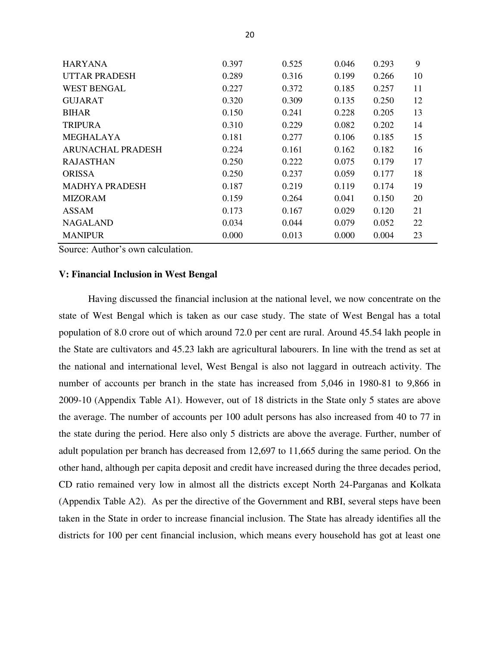| <b>HARYANA</b>           | 0.397 | 0.525 | 0.046 | 0.293 | 9  |
|--------------------------|-------|-------|-------|-------|----|
| <b>UTTAR PRADESH</b>     | 0.289 | 0.316 | 0.199 | 0.266 | 10 |
| <b>WEST BENGAL</b>       | 0.227 | 0.372 | 0.185 | 0.257 | 11 |
| <b>GUJARAT</b>           | 0.320 | 0.309 | 0.135 | 0.250 | 12 |
| <b>BIHAR</b>             | 0.150 | 0.241 | 0.228 | 0.205 | 13 |
| <b>TRIPURA</b>           | 0.310 | 0.229 | 0.082 | 0.202 | 14 |
| <b>MEGHALAYA</b>         | 0.181 | 0.277 | 0.106 | 0.185 | 15 |
| <b>ARUNACHAL PRADESH</b> | 0.224 | 0.161 | 0.162 | 0.182 | 16 |
| <b>RAJASTHAN</b>         | 0.250 | 0.222 | 0.075 | 0.179 | 17 |
| <b>ORISSA</b>            | 0.250 | 0.237 | 0.059 | 0.177 | 18 |
| <b>MADHYA PRADESH</b>    | 0.187 | 0.219 | 0.119 | 0.174 | 19 |
| <b>MIZORAM</b>           | 0.159 | 0.264 | 0.041 | 0.150 | 20 |
| <b>ASSAM</b>             | 0.173 | 0.167 | 0.029 | 0.120 | 21 |
| <b>NAGALAND</b>          | 0.034 | 0.044 | 0.079 | 0.052 | 22 |
| <b>MANIPUR</b>           | 0.000 | 0.013 | 0.000 | 0.004 | 23 |

Source: Author's own calculation.

#### **V: Financial Inclusion in West Bengal**

 Having discussed the financial inclusion at the national level, we now concentrate on the state of West Bengal which is taken as our case study. The state of West Bengal has a total population of 8.0 crore out of which around 72.0 per cent are rural. Around 45.54 lakh people in the State are cultivators and 45.23 lakh are agricultural labourers. In line with the trend as set at the national and international level, West Bengal is also not laggard in outreach activity. The number of accounts per branch in the state has increased from 5,046 in 1980-81 to 9,866 in 2009-10 (Appendix Table A1). However, out of 18 districts in the State only 5 states are above the average. The number of accounts per 100 adult persons has also increased from 40 to 77 in the state during the period. Here also only 5 districts are above the average. Further, number of adult population per branch has decreased from 12,697 to 11,665 during the same period. On the other hand, although per capita deposit and credit have increased during the three decades period, CD ratio remained very low in almost all the districts except North 24-Parganas and Kolkata (Appendix Table A2). As per the directive of the Government and RBI, several steps have been taken in the State in order to increase financial inclusion. The State has already identifies all the districts for 100 per cent financial inclusion, which means every household has got at least one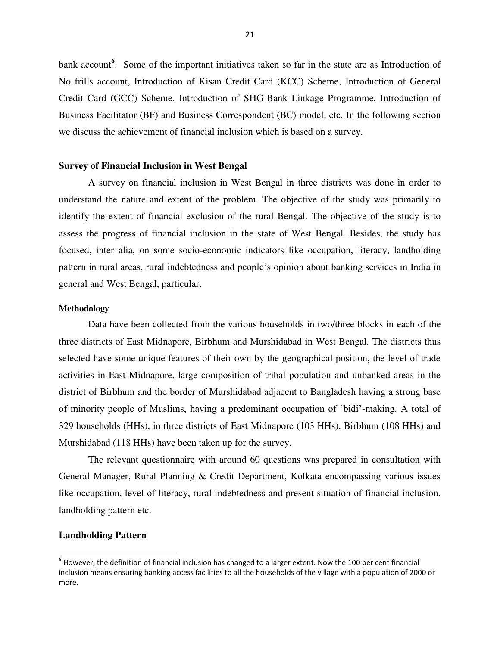bank account<sup>6</sup>. Some of the important initiatives taken so far in the state are as Introduction of No frills account, Introduction of Kisan Credit Card (KCC) Scheme, Introduction of General Credit Card (GCC) Scheme, Introduction of SHG-Bank Linkage Programme, Introduction of Business Facilitator (BF) and Business Correspondent (BC) model, etc. In the following section we discuss the achievement of financial inclusion which is based on a survey.

#### **Survey of Financial Inclusion in West Bengal**

A survey on financial inclusion in West Bengal in three districts was done in order to understand the nature and extent of the problem. The objective of the study was primarily to identify the extent of financial exclusion of the rural Bengal. The objective of the study is to assess the progress of financial inclusion in the state of West Bengal. Besides, the study has focused, inter alia, on some socio-economic indicators like occupation, literacy, landholding pattern in rural areas, rural indebtedness and people"s opinion about banking services in India in general and West Bengal, particular.

#### **Methodology**

Data have been collected from the various households in two/three blocks in each of the three districts of East Midnapore, Birbhum and Murshidabad in West Bengal. The districts thus selected have some unique features of their own by the geographical position, the level of trade activities in East Midnapore, large composition of tribal population and unbanked areas in the district of Birbhum and the border of Murshidabad adjacent to Bangladesh having a strong base of minority people of Muslims, having a predominant occupation of "bidi"-making. A total of 329 households (HHs), in three districts of East Midnapore (103 HHs), Birbhum (108 HHs) and Murshidabad (118 HHs) have been taken up for the survey.

The relevant questionnaire with around 60 questions was prepared in consultation with General Manager, Rural Planning & Credit Department, Kolkata encompassing various issues like occupation, level of literacy, rural indebtedness and present situation of financial inclusion, landholding pattern etc.

#### **Landholding Pattern**

l

**<sup>6</sup>** However, the definition of financial inclusion has changed to a larger extent. Now the 100 per cent financial inclusion means ensuring banking access facilities to all the households of the village with a population of 2000 or more.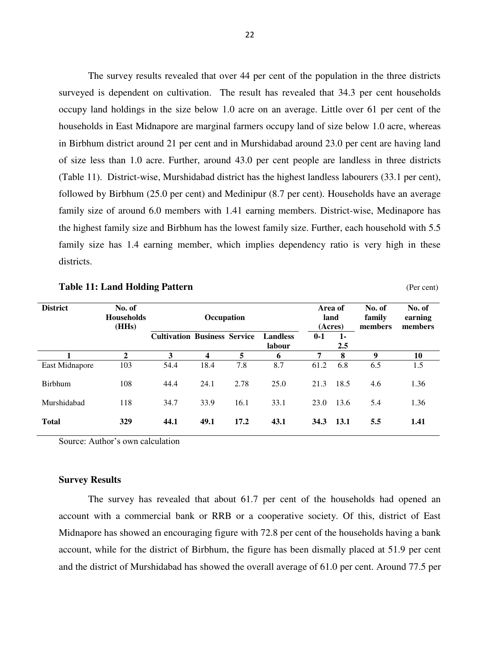The survey results revealed that over 44 per cent of the population in the three districts surveyed is dependent on cultivation. The result has revealed that 34.3 per cent households occupy land holdings in the size below 1.0 acre on an average. Little over 61 per cent of the households in East Midnapore are marginal farmers occupy land of size below 1.0 acre, whereas in Birbhum district around 21 per cent and in Murshidabad around 23.0 per cent are having land of size less than 1.0 acre. Further, around 43.0 per cent people are landless in three districts (Table 11). District-wise, Murshidabad district has the highest landless labourers (33.1 per cent), followed by Birbhum (25.0 per cent) and Medinipur (8.7 per cent). Households have an average family size of around 6.0 members with 1.41 earning members. District-wise, Medinapore has the highest family size and Birbhum has the lowest family size. Further, each household with 5.5 family size has 1.4 earning member, which implies dependency ratio is very high in these districts.

Table 11: Land Holding Pattern **Table 11: Land Holding Pattern** (Per cent)

| <b>District</b> | No. of<br><b>Households</b><br>(HHs) | Occupation                          |      |      |                           |         | Area of<br>land<br>(Acres) | No. of<br>family<br>members | No. of<br>earning<br>members |
|-----------------|--------------------------------------|-------------------------------------|------|------|---------------------------|---------|----------------------------|-----------------------------|------------------------------|
|                 |                                      | <b>Cultivation Business Service</b> |      |      | <b>Landless</b><br>labour | $0 - 1$ | $1 -$<br>2.5               |                             |                              |
|                 | 2                                    | 3                                   | 4    | 5    | 6                         | 7       | 8                          | 9                           | 10                           |
| East Midnapore  | 103                                  | 54.4                                | 18.4 | 7.8  | 8.7                       | 61.2    | 6.8                        | 6.5                         | 1.5                          |
| <b>Birbhum</b>  | 108                                  | 44.4                                | 24.1 | 2.78 | 25.0                      | 21.3    | 18.5                       | 4.6                         | 1.36                         |
| Murshidabad     | 118                                  | 34.7                                | 33.9 | 16.1 | 33.1                      | 23.0    | 13.6                       | 5.4                         | 1.36                         |
| <b>Total</b>    | 329                                  | 44.1                                | 49.1 | 17.2 | 43.1                      | 34.3    | 13.1                       | 5.5                         | 1.41                         |

Source: Author"s own calculation

#### **Survey Results**

The survey has revealed that about 61.7 per cent of the households had opened an account with a commercial bank or RRB or a cooperative society. Of this, district of East Midnapore has showed an encouraging figure with 72.8 per cent of the households having a bank account, while for the district of Birbhum, the figure has been dismally placed at 51.9 per cent and the district of Murshidabad has showed the overall average of 61.0 per cent. Around 77.5 per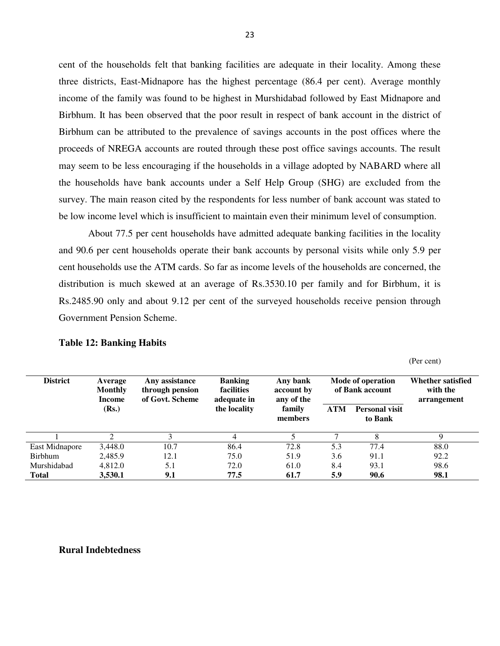cent of the households felt that banking facilities are adequate in their locality. Among these three districts, East-Midnapore has the highest percentage (86.4 per cent). Average monthly income of the family was found to be highest in Murshidabad followed by East Midnapore and Birbhum. It has been observed that the poor result in respect of bank account in the district of Birbhum can be attributed to the prevalence of savings accounts in the post offices where the proceeds of NREGA accounts are routed through these post office savings accounts. The result may seem to be less encouraging if the households in a village adopted by NABARD where all the households have bank accounts under a Self Help Group (SHG) are excluded from the survey. The main reason cited by the respondents for less number of bank account was stated to be low income level which is insufficient to maintain even their minimum level of consumption.

About 77.5 per cent households have admitted adequate banking facilities in the locality and 90.6 per cent households operate their bank accounts by personal visits while only 5.9 per cent households use the ATM cards. So far as income levels of the households are concerned, the distribution is much skewed at an average of Rs.3530.10 per family and for Birbhum, it is Rs.2485.90 only and about 9.12 per cent of the surveyed households receive pension through Government Pension Scheme.

| <b>District</b> | Average<br><b>Monthly</b><br>Income | Any assistance<br>through pension<br>of Govt. Scheme | <b>Banking</b><br><b>facilities</b><br>adequate in | Any bank<br>account by<br>any of the | Mode of operation<br>of Bank account |                                  | Whether satisfied<br>with the<br>arrangement |
|-----------------|-------------------------------------|------------------------------------------------------|----------------------------------------------------|--------------------------------------|--------------------------------------|----------------------------------|----------------------------------------------|
|                 | (Rs.)                               |                                                      | the locality                                       | family<br>members                    | <b>ATM</b>                           | <b>Personal visit</b><br>to Bank |                                              |
|                 | ∍                                   |                                                      | 4                                                  |                                      |                                      | 8                                | Q                                            |
| East Midnapore  | 3.448.0                             | 10.7                                                 | 86.4                                               | 72.8                                 | 5.3                                  | 77.4                             | 88.0                                         |
| <b>Birbhum</b>  | 2,485.9                             | 12.1                                                 | 75.0                                               | 51.9                                 | 3.6                                  | 91.1                             | 92.2                                         |
| Murshidabad     | 4,812.0                             | 5.1                                                  | 72.0                                               | 61.0                                 | 8.4                                  | 93.1                             | 98.6                                         |
| <b>Total</b>    | 3,530.1                             | 9.1                                                  | 77.5                                               | 61.7                                 | 5.9                                  | 90.6                             | 98.1                                         |

(Per cent)

#### **Table 12: Banking Habits**

#### **Rural Indebtedness**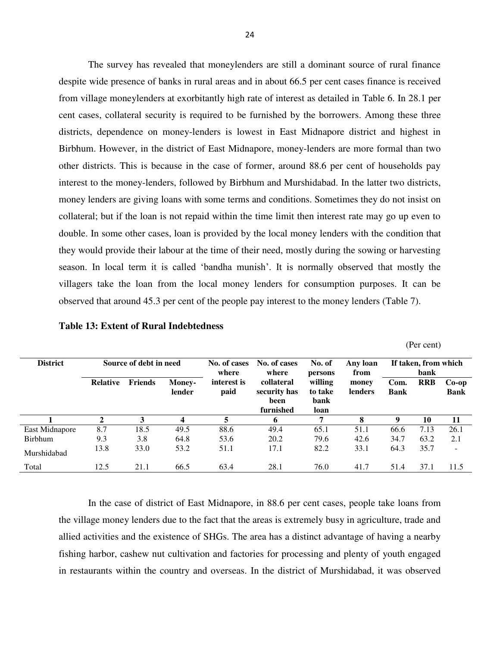The survey has revealed that moneylenders are still a dominant source of rural finance despite wide presence of banks in rural areas and in about 66.5 per cent cases finance is received from village moneylenders at exorbitantly high rate of interest as detailed in Table 6. In 28.1 per cent cases, collateral security is required to be furnished by the borrowers. Among these three districts, dependence on money-lenders is lowest in East Midnapore district and highest in Birbhum. However, in the district of East Midnapore, money-lenders are more formal than two other districts. This is because in the case of former, around 88.6 per cent of households pay interest to the money-lenders, followed by Birbhum and Murshidabad. In the latter two districts, money lenders are giving loans with some terms and conditions. Sometimes they do not insist on collateral; but if the loan is not repaid within the time limit then interest rate may go up even to double. In some other cases, loan is provided by the local money lenders with the condition that they would provide their labour at the time of their need, mostly during the sowing or harvesting season. In local term it is called 'bandha munish'. It is normally observed that mostly the villagers take the loan from the local money lenders for consumption purposes. It can be observed that around 45.3 per cent of the people pay interest to the money lenders (Table 7).

|  | (Per cent) |
|--|------------|
|--|------------|

| <b>District</b> | Source of debt in need |                |                         | No. of cases<br>where | No. of cases<br>where                           | No. of<br>persons                  | Any loan<br>from | If taken, from which<br>bank |            |                          |  |
|-----------------|------------------------|----------------|-------------------------|-----------------------|-------------------------------------------------|------------------------------------|------------------|------------------------------|------------|--------------------------|--|
|                 | <b>Relative</b>        | <b>Friends</b> | <b>Money-</b><br>lender | interest is<br>paid   | collateral<br>security has<br>been<br>furnished | willing<br>to take<br>bank<br>loan | money<br>lenders | Com.<br><b>Bank</b>          | <b>RRB</b> | $Co-op$<br><b>Bank</b>   |  |
|                 | 2                      | 3              | 4                       | 5                     | 6                                               | 7                                  | 8                | 9                            | 10         | 11                       |  |
| East Midnapore  | 8.7                    | 18.5           | 49.5                    | 88.6                  | 49.4                                            | 65.1                               | 51.1             | 66.6                         | 7.13       | 26.1                     |  |
| <b>Birbhum</b>  | 9.3                    | 3.8            | 64.8                    | 53.6                  | 20.2                                            | 79.6                               | 42.6             | 34.7                         | 63.2       | 2.1                      |  |
| Murshidabad     | 13.8                   | 33.0           | 53.2                    | 51.1                  | 17.1                                            | 82.2                               | 33.1             | 64.3                         | 35.7       | $\overline{\phantom{0}}$ |  |
| Total           | 12.5                   | 21.1           | 66.5                    | 63.4                  | 28.1                                            | 76.0                               | 41.7             | 51.4                         | 37.1       | 11.5                     |  |

In the case of district of East Midnapore, in 88.6 per cent cases, people take loans from the village money lenders due to the fact that the areas is extremely busy in agriculture, trade and allied activities and the existence of SHGs. The area has a distinct advantage of having a nearby fishing harbor, cashew nut cultivation and factories for processing and plenty of youth engaged in restaurants within the country and overseas. In the district of Murshidabad, it was observed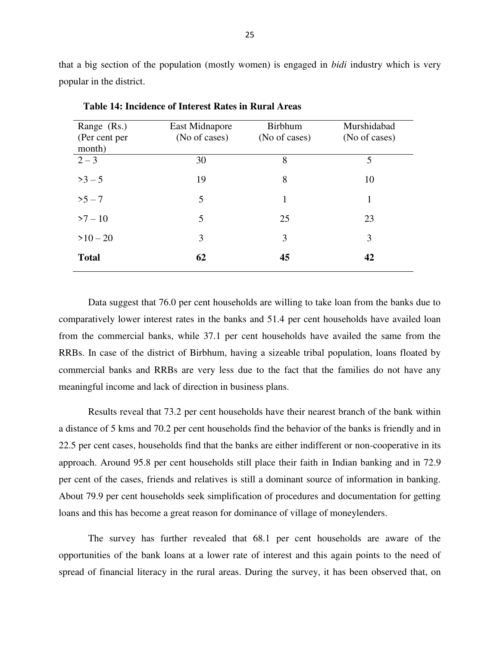that a big section of the population (mostly women) is engaged in *bidi* industry which is very popular in the district.

| Range (Rs.)<br>(Per cent per<br>month) | East Midnapore<br>(No of cases) | <b>Birbhum</b><br>(No of cases) | Murshidabad<br>(No of cases) |
|----------------------------------------|---------------------------------|---------------------------------|------------------------------|
| $2 - 3$                                | 30                              | 8                               | 5                            |
| $>3 - 5$                               | 19                              | 8                               | 10                           |
| $>5 - 7$                               | 5                               | $\mathbf{1}$                    | 1                            |
| $>7 - 10$                              | 5                               | 25                              | 23                           |
| $>10-20$                               | 3                               | 3                               | 3                            |
| <b>Total</b>                           | 62                              | 45                              | 42                           |

 **Table 14: Incidence of Interest Rates in Rural Areas** 

Data suggest that 76.0 per cent households are willing to take loan from the banks due to comparatively lower interest rates in the banks and 51.4 per cent households have availed loan from the commercial banks, while 37.1 per cent households have availed the same from the RRBs. In case of the district of Birbhum, having a sizeable tribal population, loans floated by commercial banks and RRBs are very less due to the fact that the families do not have any meaningful income and lack of direction in business plans.

Results reveal that 73.2 per cent households have their nearest branch of the bank within a distance of 5 kms and 70.2 per cent households find the behavior of the banks is friendly and in 22.5 per cent cases, households find that the banks are either indifferent or non-cooperative in its approach. Around 95.8 per cent households still place their faith in Indian banking and in 72.9 per cent of the cases, friends and relatives is still a dominant source of information in banking. About 79.9 per cent households seek simplification of procedures and documentation for getting loans and this has become a great reason for dominance of village of moneylenders.

The survey has further revealed that 68.1 per cent households are aware of the opportunities of the bank loans at a lower rate of interest and this again points to the need of spread of financial literacy in the rural areas. During the survey, it has been observed that, on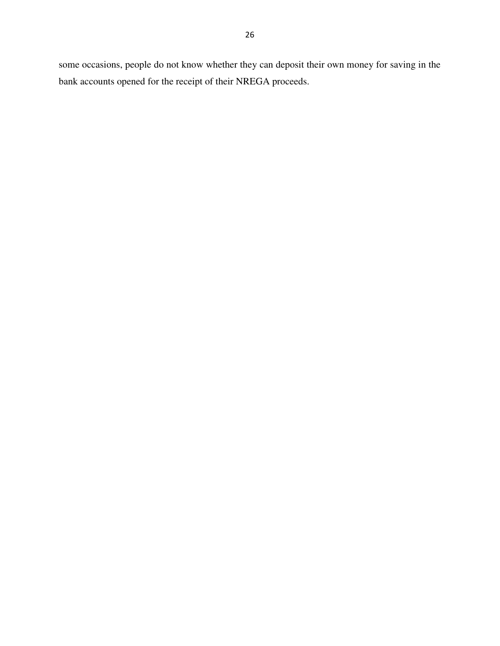some occasions, people do not know whether they can deposit their own money for saving in the bank accounts opened for the receipt of their NREGA proceeds.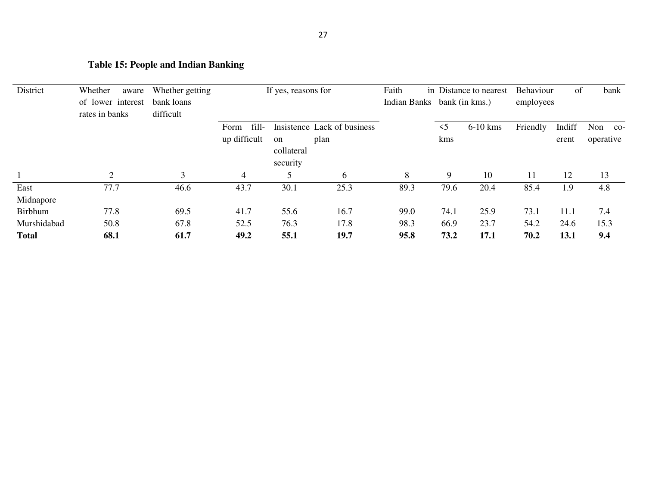## **Table 15: People and Indian Banking**

| District       | Whether<br>aware               | Whether getting |               | If yes, reasons for |                             | Faith                       |          | in Distance to nearest | Behaviour | of     | bank               |
|----------------|--------------------------------|-----------------|---------------|---------------------|-----------------------------|-----------------------------|----------|------------------------|-----------|--------|--------------------|
|                | of lower interest              | bank loans      |               |                     |                             | Indian Banks bank (in kms.) |          |                        | employees |        |                    |
|                | rates in banks                 | difficult       |               |                     |                             |                             |          |                        |           |        |                    |
|                |                                |                 | fill-<br>Form |                     | Insistence Lack of business |                             | $\leq$ 5 | $6-10$ kms             | Friendly  | Indiff | Non<br>$_{\rm CO}$ |
|                |                                |                 | up difficult  | <sub>on</sub>       | plan                        |                             | kms      |                        |           | erent  | operative          |
|                |                                |                 |               | collateral          |                             |                             |          |                        |           |        |                    |
|                |                                |                 |               | security            |                             |                             |          |                        |           |        |                    |
|                | <sup><math>\gamma</math></sup> | 3               | 4             |                     | 6                           | 8                           | 9        | 10                     |           | 12     | 13                 |
| East           | 77.7                           | 46.6            | 43.7          | 30.1                | 25.3                        | 89.3                        | 79.6     | 20.4                   | 85.4      | 1.9    | 4.8                |
| Midnapore      |                                |                 |               |                     |                             |                             |          |                        |           |        |                    |
| <b>Birbhum</b> | 77.8                           | 69.5            | 41.7          | 55.6                | 16.7                        | 99.0                        | 74.1     | 25.9                   | 73.1      | 11.1   | 7.4                |
| Murshidabad    | 50.8                           | 67.8            | 52.5          | 76.3                | 17.8                        | 98.3                        | 66.9     | 23.7                   | 54.2      | 24.6   | 15.3               |
| <b>Total</b>   | 68.1                           | 61.7            | 49.2          | 55.1                | 19.7                        | 95.8                        | 73.2     | 17.1                   | 70.2      | 13.1   | 9.4                |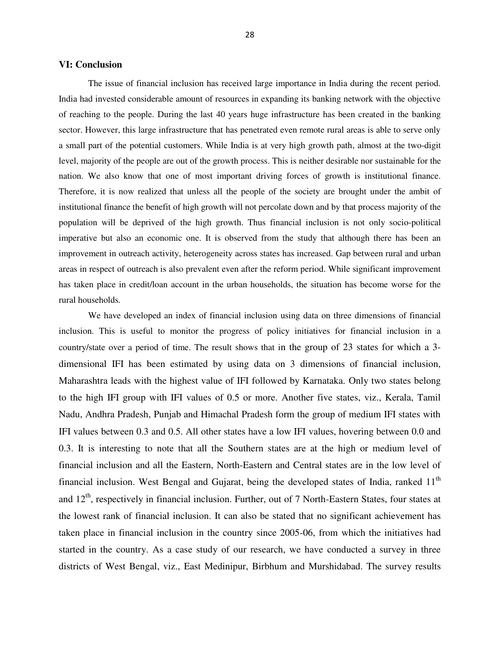#### **VI: Conclusion**

The issue of financial inclusion has received large importance in India during the recent period. India had invested considerable amount of resources in expanding its banking network with the objective of reaching to the people. During the last 40 years huge infrastructure has been created in the banking sector. However, this large infrastructure that has penetrated even remote rural areas is able to serve only a small part of the potential customers. While India is at very high growth path, almost at the two-digit level, majority of the people are out of the growth process. This is neither desirable nor sustainable for the nation. We also know that one of most important driving forces of growth is institutional finance. Therefore, it is now realized that unless all the people of the society are brought under the ambit of institutional finance the benefit of high growth will not percolate down and by that process majority of the population will be deprived of the high growth. Thus financial inclusion is not only socio-political imperative but also an economic one. It is observed from the study that although there has been an improvement in outreach activity, heterogeneity across states has increased. Gap between rural and urban areas in respect of outreach is also prevalent even after the reform period. While significant improvement has taken place in credit/loan account in the urban households, the situation has become worse for the rural households.

We have developed an index of financial inclusion using data on three dimensions of financial inclusion. This is useful to monitor the progress of policy initiatives for financial inclusion in a country/state over a period of time. The result shows that in the group of 23 states for which a 3 dimensional IFI has been estimated by using data on 3 dimensions of financial inclusion, Maharashtra leads with the highest value of IFI followed by Karnataka. Only two states belong to the high IFI group with IFI values of 0.5 or more. Another five states, viz., Kerala, Tamil Nadu, Andhra Pradesh, Punjab and Himachal Pradesh form the group of medium IFI states with IFI values between 0.3 and 0.5. All other states have a low IFI values, hovering between 0.0 and 0.3. It is interesting to note that all the Southern states are at the high or medium level of financial inclusion and all the Eastern, North-Eastern and Central states are in the low level of financial inclusion. West Bengal and Gujarat, being the developed states of India, ranked  $11<sup>th</sup>$ and  $12<sup>th</sup>$ , respectively in financial inclusion. Further, out of 7 North-Eastern States, four states at the lowest rank of financial inclusion. It can also be stated that no significant achievement has taken place in financial inclusion in the country since 2005-06, from which the initiatives had started in the country. As a case study of our research, we have conducted a survey in three districts of West Bengal, viz., East Medinipur, Birbhum and Murshidabad. The survey results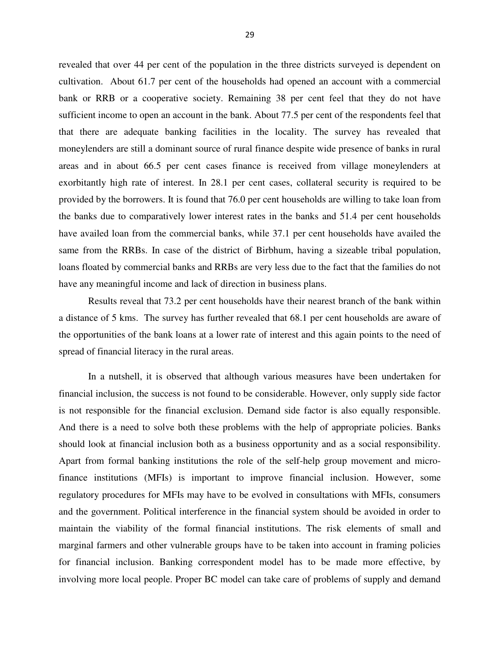revealed that over 44 per cent of the population in the three districts surveyed is dependent on cultivation. About 61.7 per cent of the households had opened an account with a commercial bank or RRB or a cooperative society. Remaining 38 per cent feel that they do not have sufficient income to open an account in the bank. About 77.5 per cent of the respondents feel that that there are adequate banking facilities in the locality. The survey has revealed that moneylenders are still a dominant source of rural finance despite wide presence of banks in rural areas and in about 66.5 per cent cases finance is received from village moneylenders at exorbitantly high rate of interest. In 28.1 per cent cases, collateral security is required to be provided by the borrowers. It is found that 76.0 per cent households are willing to take loan from the banks due to comparatively lower interest rates in the banks and 51.4 per cent households have availed loan from the commercial banks, while 37.1 per cent households have availed the same from the RRBs. In case of the district of Birbhum, having a sizeable tribal population, loans floated by commercial banks and RRBs are very less due to the fact that the families do not have any meaningful income and lack of direction in business plans.

Results reveal that 73.2 per cent households have their nearest branch of the bank within a distance of 5 kms. The survey has further revealed that 68.1 per cent households are aware of the opportunities of the bank loans at a lower rate of interest and this again points to the need of spread of financial literacy in the rural areas.

In a nutshell, it is observed that although various measures have been undertaken for financial inclusion, the success is not found to be considerable. However, only supply side factor is not responsible for the financial exclusion. Demand side factor is also equally responsible. And there is a need to solve both these problems with the help of appropriate policies. Banks should look at financial inclusion both as a business opportunity and as a social responsibility. Apart from formal banking institutions the role of the self-help group movement and microfinance institutions (MFIs) is important to improve financial inclusion. However, some regulatory procedures for MFIs may have to be evolved in consultations with MFIs, consumers and the government. Political interference in the financial system should be avoided in order to maintain the viability of the formal financial institutions. The risk elements of small and marginal farmers and other vulnerable groups have to be taken into account in framing policies for financial inclusion. Banking correspondent model has to be made more effective, by involving more local people. Proper BC model can take care of problems of supply and demand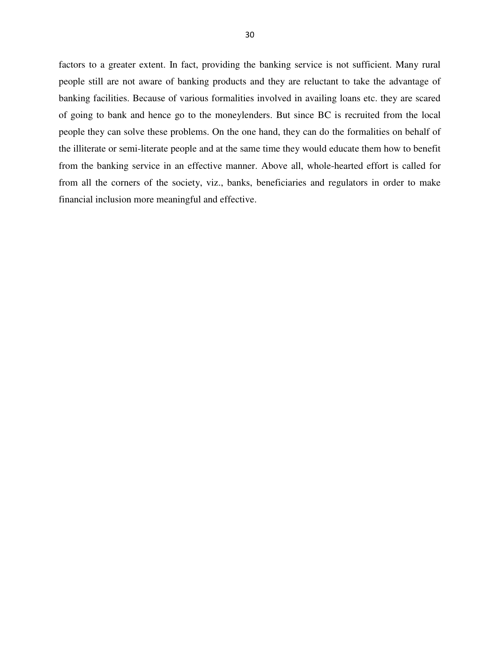factors to a greater extent. In fact, providing the banking service is not sufficient. Many rural people still are not aware of banking products and they are reluctant to take the advantage of banking facilities. Because of various formalities involved in availing loans etc. they are scared of going to bank and hence go to the moneylenders. But since BC is recruited from the local people they can solve these problems. On the one hand, they can do the formalities on behalf of the illiterate or semi-literate people and at the same time they would educate them how to benefit from the banking service in an effective manner. Above all, whole-hearted effort is called for from all the corners of the society, viz., banks, beneficiaries and regulators in order to make financial inclusion more meaningful and effective.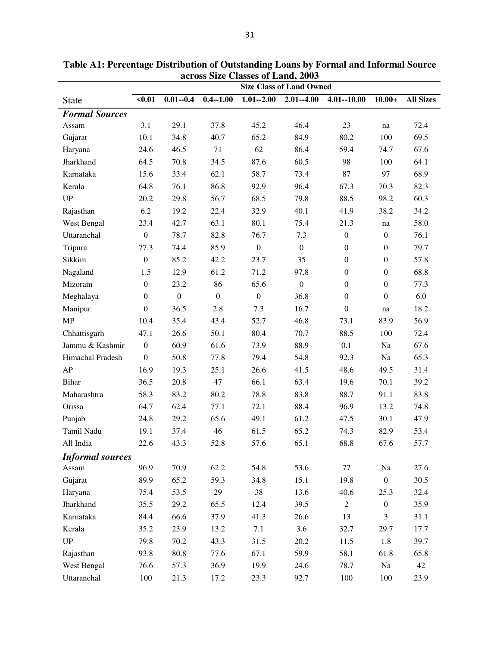|                         | across Size Classes of Lanu, 2005<br><b>Size Class of Land Owned</b> |                  |                  |                  |                  |                  |                  |                  |  |  |  |  |
|-------------------------|----------------------------------------------------------------------|------------------|------------------|------------------|------------------|------------------|------------------|------------------|--|--|--|--|
| <b>State</b>            | $0.01$                                                               | $0.01 - 0.4$     | $0.4 - 1.00$     | $1.01 - 2.00$    | $2.01 - 4.00$    | $4.01 - 10.00$   | $10.00+$         | <b>All Sizes</b> |  |  |  |  |
| <b>Formal Sources</b>   |                                                                      |                  |                  |                  |                  |                  |                  |                  |  |  |  |  |
| Assam                   | 3.1                                                                  | 29.1             | 37.8             | 45.2             | 46.4             | 23               | na               | 72.4             |  |  |  |  |
| Gujarat                 | 10.1                                                                 | 34.8             | 40.7             | 65.2             | 84.9             | 80.2             | 100              | 69.5             |  |  |  |  |
| Haryana                 | 24.6                                                                 | 46.5             | 71               | 62               | 86.4             | 59.4             | 74.7             | 67.6             |  |  |  |  |
| Jharkhand               | 64.5                                                                 | 70.8             | 34.5             | 87.6             | 60.5             | 98               | 100              | 64.1             |  |  |  |  |
| Karnataka               | 15.6                                                                 | 33.4             | 62.1             | 58.7             | 73.4             | 87               | 97               | 68.9             |  |  |  |  |
| Kerala                  | 64.8                                                                 | 76.1             | 86.8             | 92.9             | 96.4             | 67.3             | 70.3             | 82.3             |  |  |  |  |
| <b>UP</b>               | 20.2                                                                 | 29.8             | 56.7             | 68.5             | 79.8             | 88.5             | 98.2             | 60.3             |  |  |  |  |
| Rajasthan               | 6.2                                                                  | 19.2             | 22.4             | 32.9             | 40.1             | 41.9             | 38.2             | 34.2             |  |  |  |  |
| West Bengal             | 23.4                                                                 | 42.7             | 63.1             | 80.1             | 75.4             | 21.3             | na               | 58.0             |  |  |  |  |
| Uttaranchal             | $\boldsymbol{0}$                                                     | 78.7             | 82.8             | 76.7             | 7.3              | $\boldsymbol{0}$ | $\boldsymbol{0}$ | 76.1             |  |  |  |  |
| Tripura                 | 77.3                                                                 | 74.4             | 85.9             | $\boldsymbol{0}$ | $\boldsymbol{0}$ | $\boldsymbol{0}$ | $\boldsymbol{0}$ | 79.7             |  |  |  |  |
| Sikkim                  | $\boldsymbol{0}$                                                     | 85.2             | 42.2             | 23.7             | 35               | $\boldsymbol{0}$ | $\boldsymbol{0}$ | 57.8             |  |  |  |  |
| Nagaland                | 1.5                                                                  | 12.9             | 61.2             | 71.2             | 97.8             | $\boldsymbol{0}$ | $\boldsymbol{0}$ | 68.8             |  |  |  |  |
| Mizoram                 | $\boldsymbol{0}$                                                     | 23.2             | 86               | 65.6             | $\boldsymbol{0}$ | $\boldsymbol{0}$ | $\boldsymbol{0}$ | 77.3             |  |  |  |  |
| Meghalaya               | $\boldsymbol{0}$                                                     | $\boldsymbol{0}$ | $\boldsymbol{0}$ | $\boldsymbol{0}$ | 36.8             | $\boldsymbol{0}$ | $\boldsymbol{0}$ | 6.0              |  |  |  |  |
| Manipur                 | $\boldsymbol{0}$                                                     | 36.5             | 2.8              | 7.3              | 16.7             | $\boldsymbol{0}$ | na               | 18.2             |  |  |  |  |
| MP                      | 10.4                                                                 | 35.4             | 43.4             | 52.7             | 46.8             | 73.1             | 83.9             | 56.9             |  |  |  |  |
| Chhattisgarh            | 47.1                                                                 | 26.6             | 50.1             | 80.4             | 70.7             | 88.5             | 100              | 72.4             |  |  |  |  |
| Jammu & Kashmir         | $\boldsymbol{0}$                                                     | 60.9             | 61.6             | 73.9             | 88.9             | 0.1              | Na               | 67.6             |  |  |  |  |
| Himachal Pradesh        | $\boldsymbol{0}$                                                     | 50.8             | 77.8             | 79.4             | 54.8             | 92.3             | Na               | 65.3             |  |  |  |  |
| AP                      | 16.9                                                                 | 19.3             | 25.1             | 26.6             | 41.5             | 48.6             | 49.5             | 31.4             |  |  |  |  |
| <b>Bihar</b>            | 36.5                                                                 | 20.8             | 47               | 66.1             | 63.4             | 19.6             | 70.1             | 39.2             |  |  |  |  |
| Maharashtra             | 58.3                                                                 | 83.2             | 80.2             | 78.8             | 83.8             | 88.7             | 91.1             | 83.8             |  |  |  |  |
| Orissa                  | 64.7                                                                 | 62.4             | 77.1             | 72.1             | 88.4             | 96.9             | 13.2             | 74.8             |  |  |  |  |
| Punjab                  | 24.8                                                                 | 29.2             | 65.6             | 49.1             | 61.2             | 47.5             | 30.1             | 47.9             |  |  |  |  |
| Tamil Nadu              | 19.1                                                                 | 37.4             | 46               | 61.5             | 65.2             | 74.3             | 82.9             | 53.4             |  |  |  |  |
| All India               | 22.6                                                                 | 43.3             | 52.8             | 57.6             | 65.1             | 68.8             | 67.6             | 57.7             |  |  |  |  |
| <b>Informal sources</b> |                                                                      |                  |                  |                  |                  |                  |                  |                  |  |  |  |  |
| Assam                   | 96.9                                                                 | 70.9             | 62.2             | 54.8             | 53.6             | 77               | Na               | 27.6             |  |  |  |  |
| Gujarat                 | 89.9                                                                 | 65.2             | 59.3             | 34.8             | 15.1             | 19.8             | $\boldsymbol{0}$ | 30.5             |  |  |  |  |
| Haryana                 | 75.4                                                                 | 53.5             | 29               | 38               | 13.6             | 40.6             | 25.3             | 32.4             |  |  |  |  |
| Jharkhand               | 35.5                                                                 | 29.2             | 65.5             | 12.4             | 39.5             | $\sqrt{2}$       | $\boldsymbol{0}$ | 35.9             |  |  |  |  |
| Karnataka               | 84.4                                                                 | 66.6             | 37.9             | 41.3             | 26.6             | 13               | 3                | 31.1             |  |  |  |  |
| Kerala                  | 35.2                                                                 | 23.9             | 13.2             | 7.1              | 3.6              | 32.7             | 29.7             | 17.7             |  |  |  |  |
| $\mathbf{U}\mathbf{P}$  | 79.8                                                                 | 70.2             | 43.3             | 31.5             | 20.2             | 11.5             | 1.8              | 39.7             |  |  |  |  |
| Rajasthan               | 93.8                                                                 | 80.8             | 77.6             | 67.1             | 59.9             | 58.1             | 61.8             | 65.8             |  |  |  |  |
| West Bengal             | 76.6                                                                 | 57.3             | 36.9             | 19.9             | 24.6             | 78.7             | Na               | 42               |  |  |  |  |
| Uttaranchal             | 100                                                                  | 21.3             | 17.2             | 23.3             | 92.7             | 100              | 100              | 23.9             |  |  |  |  |

**Table A1: Percentage Distribution of Outstanding Loans by Formal and Informal Source across Size Classes of Land, 2003**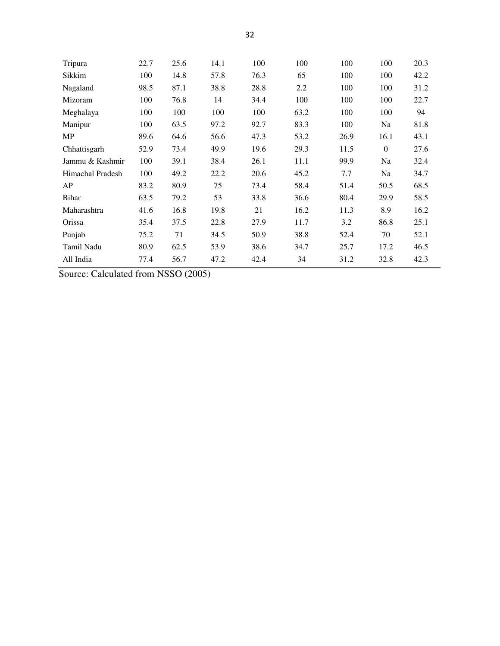| Tripura          | 22.7 | 25.6 | 14.1 | 100  | 100  | 100  | 100          | 20.3 |
|------------------|------|------|------|------|------|------|--------------|------|
| Sikkim           | 100  | 14.8 | 57.8 | 76.3 | 65   | 100  | 100          | 42.2 |
| Nagaland         | 98.5 | 87.1 | 38.8 | 28.8 | 2.2  | 100  | 100          | 31.2 |
| Mizoram          | 100  | 76.8 | 14   | 34.4 | 100  | 100  | 100          | 22.7 |
| Meghalaya        | 100  | 100  | 100  | 100  | 63.2 | 100  | 100          | 94   |
| Manipur          | 100  | 63.5 | 97.2 | 92.7 | 83.3 | 100  | Na           | 81.8 |
| MP               | 89.6 | 64.6 | 56.6 | 47.3 | 53.2 | 26.9 | 16.1         | 43.1 |
| Chhattisgarh     | 52.9 | 73.4 | 49.9 | 19.6 | 29.3 | 11.5 | $\mathbf{0}$ | 27.6 |
| Jammu & Kashmir  | 100  | 39.1 | 38.4 | 26.1 | 11.1 | 99.9 | Na           | 32.4 |
| Himachal Pradesh | 100  | 49.2 | 22.2 | 20.6 | 45.2 | 7.7  | Na           | 34.7 |
| AP               | 83.2 | 80.9 | 75   | 73.4 | 58.4 | 51.4 | 50.5         | 68.5 |
| <b>Bihar</b>     | 63.5 | 79.2 | 53   | 33.8 | 36.6 | 80.4 | 29.9         | 58.5 |
| Maharashtra      | 41.6 | 16.8 | 19.8 | 21   | 16.2 | 11.3 | 8.9          | 16.2 |
| Orissa           | 35.4 | 37.5 | 22.8 | 27.9 | 11.7 | 3.2  | 86.8         | 25.1 |
| Punjab           | 75.2 | 71   | 34.5 | 50.9 | 38.8 | 52.4 | 70           | 52.1 |
| Tamil Nadu       | 80.9 | 62.5 | 53.9 | 38.6 | 34.7 | 25.7 | 17.2         | 46.5 |
| All India        | 77.4 | 56.7 | 47.2 | 42.4 | 34   | 31.2 | 32.8         | 42.3 |

Source: Calculated from NSSO (2005)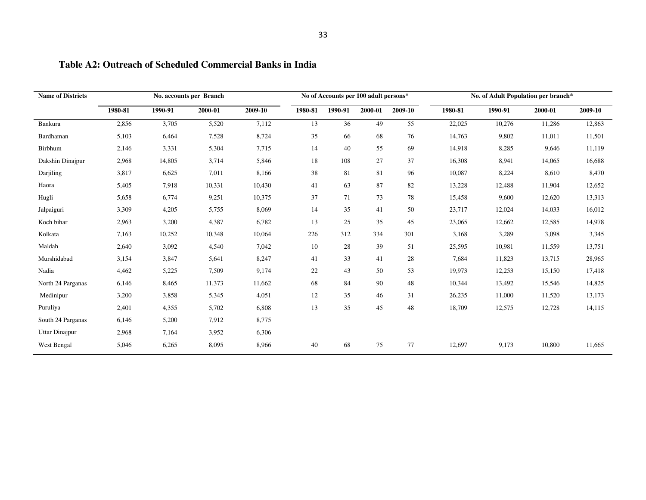| <b>Name of Districts</b> |         |         | No. accounts per Branch |         |         | No of Accounts per 100 adult persons* |         |         |         | No. of Adult Population per branch* |         |         |  |
|--------------------------|---------|---------|-------------------------|---------|---------|---------------------------------------|---------|---------|---------|-------------------------------------|---------|---------|--|
|                          | 1980-81 | 1990-91 | 2000-01                 | 2009-10 | 1980-81 | 1990-91                               | 2000-01 | 2009-10 | 1980-81 | 1990-91                             | 2000-01 | 2009-10 |  |
| Bankura                  | 2,856   | 3,705   | 5,520                   | 7,112   | 13      | 36                                    | 49      | 55      | 22,025  | 10,276                              | 11,286  | 12,863  |  |
| Bardhaman                | 5,103   | 6,464   | 7,528                   | 8,724   | 35      | 66                                    | 68      | 76      | 14,763  | 9,802                               | 11,011  | 11,501  |  |
| Birbhum                  | 2,146   | 3,331   | 5,304                   | 7,715   | 14      | 40                                    | 55      | 69      | 14,918  | 8,285                               | 9,646   | 11,119  |  |
| Dakshin Dinajpur         | 2,968   | 14,805  | 3,714                   | 5,846   | 18      | 108                                   | 27      | 37      | 16,308  | 8,941                               | 14,065  | 16,688  |  |
| Darjiling                | 3,817   | 6,625   | 7,011                   | 8,166   | $38\,$  | 81                                    | 81      | 96      | 10,087  | 8,224                               | 8,610   | 8,470   |  |
| Haora                    | 5,405   | 7,918   | 10,331                  | 10,430  | 41      | 63                                    | 87      | 82      | 13,228  | 12,488                              | 11,904  | 12,652  |  |
| Hugli                    | 5,658   | 6,774   | 9,251                   | 10,375  | 37      | 71                                    | 73      | 78      | 15,458  | 9,600                               | 12,620  | 13,313  |  |
| Jalpaiguri               | 3,309   | 4,205   | 5,755                   | 8,069   | 14      | 35                                    | 41      | 50      | 23,717  | 12,024                              | 14,033  | 16,012  |  |
| Koch bihar               | 2,963   | 3,200   | 4,387                   | 6,782   | 13      | 25                                    | 35      | 45      | 23,065  | 12,662                              | 12,585  | 14,978  |  |
| Kolkata                  | 7,163   | 10,252  | 10,348                  | 10,064  | 226     | 312                                   | 334     | 301     | 3,168   | 3,289                               | 3,098   | 3,345   |  |
| Maldah                   | 2,640   | 3,092   | 4,540                   | 7,042   | 10      | 28                                    | 39      | 51      | 25,595  | 10,981                              | 11,559  | 13,751  |  |
| Murshidabad              | 3,154   | 3,847   | 5,641                   | 8,247   | 41      | 33                                    | 41      | 28      | 7,684   | 11,823                              | 13,715  | 28,965  |  |
| Nadia                    | 4,462   | 5,225   | 7,509                   | 9,174   | 22      | 43                                    | 50      | 53      | 19,973  | 12,253                              | 15,150  | 17,418  |  |
| North 24 Parganas        | 6,146   | 8,465   | 11,373                  | 11,662  | 68      | 84                                    | 90      | 48      | 10,344  | 13,492                              | 15,546  | 14,825  |  |
| Medinipur                | 3,200   | 3,858   | 5,345                   | 4,051   | 12      | 35                                    | 46      | 31      | 26,235  | 11,000                              | 11,520  | 13,173  |  |
| Puruliya                 | 2,401   | 4,355   | 5,702                   | 6,808   | 13      | 35                                    | 45      | 48      | 18,709  | 12,575                              | 12,728  | 14,115  |  |
| South 24 Parganas        | 6,146   | 5,200   | 7,912                   | 8,775   |         |                                       |         |         |         |                                     |         |         |  |
| Uttar Dinajpur           | 2,968   | 7,164   | 3,952                   | 6,306   |         |                                       |         |         |         |                                     |         |         |  |
| West Bengal              | 5,046   | 6,265   | 8,095                   | 8,966   | 40      | 68                                    | 75      | 77      | 12,697  | 9,173                               | 10,800  | 11,665  |  |

## **Table A2: Outreach of Scheduled Commercial Banks in India**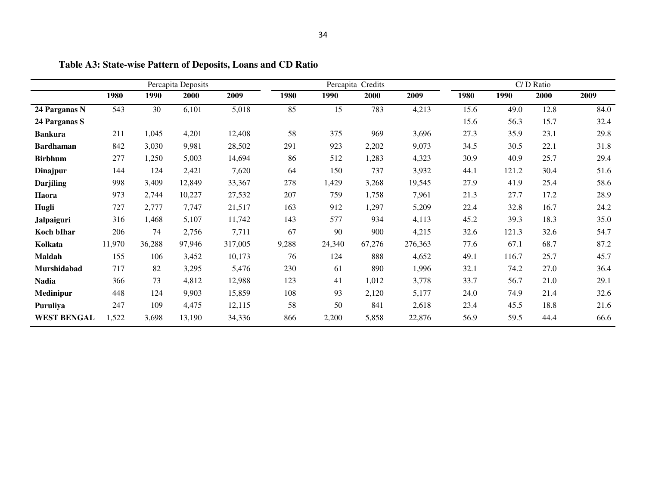|                    |        |        | Percapita Deposits |         |       | Percapita Credits |        |         |      |       | C/D Ratio |      |
|--------------------|--------|--------|--------------------|---------|-------|-------------------|--------|---------|------|-------|-----------|------|
|                    | 1980   | 1990   | 2000               | 2009    | 1980  | 1990              | 2000   | 2009    | 1980 | 1990  | 2000      | 2009 |
| 24 Parganas N      | 543    | 30     | 6,101              | 5,018   | 85    | 15                | 783    | 4,213   | 15.6 | 49.0  | 12.8      | 84.0 |
| 24 Parganas S      |        |        |                    |         |       |                   |        |         | 15.6 | 56.3  | 15.7      | 32.4 |
| <b>Bankura</b>     | 211    | 1,045  | 4,201              | 12,408  | 58    | 375               | 969    | 3,696   | 27.3 | 35.9  | 23.1      | 29.8 |
| <b>Bardhaman</b>   | 842    | 3,030  | 9,981              | 28,502  | 291   | 923               | 2,202  | 9,073   | 34.5 | 30.5  | 22.1      | 31.8 |
| <b>Birbhum</b>     | 277    | 1,250  | 5,003              | 14,694  | 86    | 512               | 1,283  | 4,323   | 30.9 | 40.9  | 25.7      | 29.4 |
| Dinajpur           | 144    | 124    | 2,421              | 7,620   | 64    | 150               | 737    | 3,932   | 44.1 | 121.2 | 30.4      | 51.6 |
| <b>Darjiling</b>   | 998    | 3,409  | 12,849             | 33,367  | 278   | 1,429             | 3,268  | 19,545  | 27.9 | 41.9  | 25.4      | 58.6 |
| Haora              | 973    | 2,744  | 10,227             | 27,532  | 207   | 759               | 1,758  | 7,961   | 21.3 | 27.7  | 17.2      | 28.9 |
| Hugli              | 727    | 2,777  | 7,747              | 21,517  | 163   | 912               | 1,297  | 5,209   | 22.4 | 32.8  | 16.7      | 24.2 |
| <b>Jalpaiguri</b>  | 316    | 1,468  | 5,107              | 11,742  | 143   | 577               | 934    | 4,113   | 45.2 | 39.3  | 18.3      | 35.0 |
| Koch bIhar         | 206    | 74     | 2,756              | 7,711   | 67    | 90                | 900    | 4,215   | 32.6 | 121.3 | 32.6      | 54.7 |
| Kolkata            | 11,970 | 36,288 | 97,946             | 317,005 | 9,288 | 24,340            | 67,276 | 276,363 | 77.6 | 67.1  | 68.7      | 87.2 |
| <b>Maldah</b>      | 155    | 106    | 3,452              | 10,173  | 76    | 124               | 888    | 4,652   | 49.1 | 116.7 | 25.7      | 45.7 |
| Murshidabad        | 717    | 82     | 3,295              | 5,476   | 230   | 61                | 890    | 1,996   | 32.1 | 74.2  | 27.0      | 36.4 |
| <b>Nadia</b>       | 366    | 73     | 4,812              | 12,988  | 123   | 41                | 1,012  | 3,778   | 33.7 | 56.7  | 21.0      | 29.1 |
| Medinipur          | 448    | 124    | 9,903              | 15,859  | 108   | 93                | 2,120  | 5,177   | 24.0 | 74.9  | 21.4      | 32.6 |
| Puruliya           | 247    | 109    | 4,475              | 12,115  | 58    | 50                | 841    | 2,618   | 23.4 | 45.5  | 18.8      | 21.6 |
| <b>WEST BENGAL</b> | 1,522  | 3,698  | 13,190             | 34,336  | 866   | 2,200             | 5,858  | 22,876  | 56.9 | 59.5  | 44.4      | 66.6 |

**Table A3: State-wise Pattern of Deposits, Loans and CD Ratio**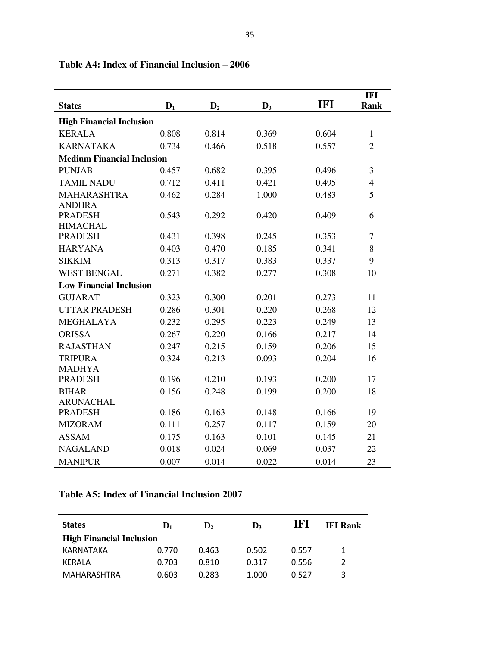| <b>States</b>                     | $D_1$ | D <sub>2</sub> | $D_3$ | <b>IFI</b> | <b>IFI</b><br><b>Rank</b> |  |
|-----------------------------------|-------|----------------|-------|------------|---------------------------|--|
| <b>High Financial Inclusion</b>   |       |                |       |            |                           |  |
| <b>KERALA</b>                     | 0.808 | 0.814          | 0.369 | 0.604      | $\mathbf{1}$              |  |
| <b>KARNATAKA</b>                  | 0.734 | 0.466          | 0.518 | 0.557      | $\overline{2}$            |  |
| <b>Medium Financial Inclusion</b> |       |                |       |            |                           |  |
| <b>PUNJAB</b>                     | 0.457 | 0.682          | 0.395 | 0.496      | 3                         |  |
| <b>TAMIL NADU</b>                 | 0.712 | 0.411          | 0.421 | 0.495      | $\overline{4}$            |  |
| <b>MAHARASHTRA</b>                | 0.462 | 0.284          | 1.000 | 0.483      | 5                         |  |
| <b>ANDHRA</b>                     |       |                |       |            |                           |  |
| <b>PRADESH</b>                    | 0.543 | 0.292          | 0.420 | 0.409      | 6                         |  |
| <b>HIMACHAL</b><br><b>PRADESH</b> | 0.431 | 0.398          | 0.245 | 0.353      | $\tau$                    |  |
| <b>HARYANA</b>                    | 0.403 | 0.470          | 0.185 | 0.341      | 8                         |  |
| <b>SIKKIM</b>                     | 0.313 | 0.317          | 0.383 | 0.337      | 9                         |  |
| <b>WEST BENGAL</b>                | 0.271 | 0.382          | 0.277 | 0.308      | 10                        |  |
| <b>Low Financial Inclusion</b>    |       |                |       |            |                           |  |
|                                   |       |                |       |            |                           |  |
| <b>GUJARAT</b>                    | 0.323 | 0.300          | 0.201 | 0.273      | 11                        |  |
| <b>UTTAR PRADESH</b>              | 0.286 | 0.301          | 0.220 | 0.268      | 12                        |  |
| <b>MEGHALAYA</b>                  | 0.232 | 0.295          | 0.223 | 0.249      | 13                        |  |
| <b>ORISSA</b>                     | 0.267 | 0.220          | 0.166 | 0.217      | 14                        |  |
| <b>RAJASTHAN</b>                  | 0.247 | 0.215          | 0.159 | 0.206      | 15                        |  |
| <b>TRIPURA</b>                    | 0.324 | 0.213          | 0.093 | 0.204      | 16                        |  |
| <b>MADHYA</b><br><b>PRADESH</b>   | 0.196 | 0.210          | 0.193 | 0.200      | 17                        |  |
| <b>BIHAR</b>                      | 0.156 | 0.248          | 0.199 | 0.200      | 18                        |  |
| <b>ARUNACHAL</b>                  |       |                |       |            |                           |  |
| <b>PRADESH</b>                    | 0.186 | 0.163          | 0.148 | 0.166      | 19                        |  |
| <b>MIZORAM</b>                    | 0.111 | 0.257          | 0.117 | 0.159      | 20                        |  |
| <b>ASSAM</b>                      | 0.175 | 0.163          | 0.101 | 0.145      | 21                        |  |
| <b>NAGALAND</b>                   | 0.018 | 0.024          | 0.069 | 0.037      | 22                        |  |
| <b>MANIPUR</b>                    | 0.007 | 0.014          | 0.022 | 0.014      | 23                        |  |

## **Table A4: Index of Financial Inclusion – 2006**

## **Table A5: Index of Financial Inclusion 2007**

| <b>States</b>                   | D,    | $\mathbf{D}_{2}$ | $\mathbf{D}_3$ | IFI   | <b>IFI Rank</b> |
|---------------------------------|-------|------------------|----------------|-------|-----------------|
| <b>High Financial Inclusion</b> |       |                  |                |       |                 |
| KARNATAKA                       | 0.770 | 0.463            | 0.502          | 0.557 |                 |
| <b>KERALA</b>                   | 0.703 | 0.810            | 0.317          | 0.556 |                 |
| MAHARASHTRA                     | 0.603 | 0.283            | 1.000          | 0.527 | 3               |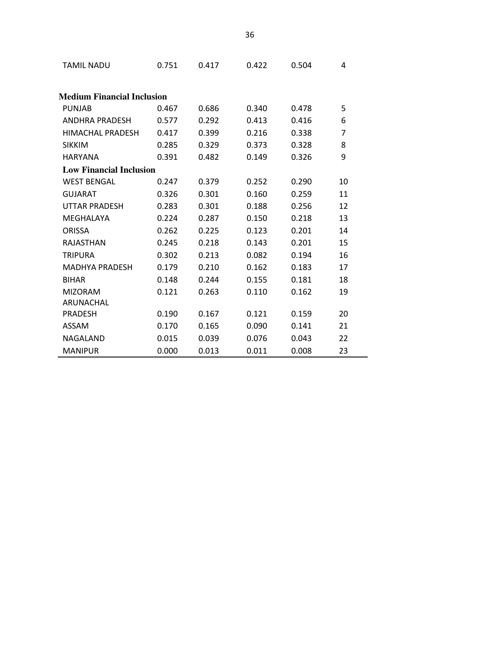| <b>TAMIL NADU</b>                 | 0.751                          | 0.417 | 0.422 | 0.504 | 4  |  |  |
|-----------------------------------|--------------------------------|-------|-------|-------|----|--|--|
| <b>Medium Financial Inclusion</b> |                                |       |       |       |    |  |  |
| <b>PUNJAB</b>                     | 0.467                          | 0.686 | 0.340 | 0.478 | 5  |  |  |
| ANDHRA PRADESH                    | 0.577                          | 0.292 | 0.413 | 0.416 | 6  |  |  |
| HIMACHAL PRADESH                  | 0.417                          | 0.399 | 0.216 | 0.338 | 7  |  |  |
| <b>SIKKIM</b>                     | 0.285                          | 0.329 | 0.373 | 0.328 | 8  |  |  |
| <b>HARYANA</b>                    | 0.391                          | 0.482 | 0.149 | 0.326 | 9  |  |  |
|                                   | <b>Low Financial Inclusion</b> |       |       |       |    |  |  |
| <b>WEST BENGAL</b>                | 0.247                          | 0.379 | 0.252 | 0.290 | 10 |  |  |
| <b>GUJARAT</b>                    | 0.326                          | 0.301 | 0.160 | 0.259 | 11 |  |  |
| <b>UTTAR PRADESH</b>              | 0.283                          | 0.301 | 0.188 | 0.256 | 12 |  |  |
| MEGHALAYA                         | 0.224                          | 0.287 | 0.150 | 0.218 | 13 |  |  |
| <b>ORISSA</b>                     | 0.262                          | 0.225 | 0.123 | 0.201 | 14 |  |  |
| <b>RAJASTHAN</b>                  | 0.245                          | 0.218 | 0.143 | 0.201 | 15 |  |  |
| <b>TRIPURA</b>                    | 0.302                          | 0.213 | 0.082 | 0.194 | 16 |  |  |
| <b>MADHYA PRADESH</b>             | 0.179                          | 0.210 | 0.162 | 0.183 | 17 |  |  |
| <b>BIHAR</b>                      | 0.148                          | 0.244 | 0.155 | 0.181 | 18 |  |  |
| <b>MIZORAM</b>                    | 0.121                          | 0.263 | 0.110 | 0.162 | 19 |  |  |
| ARUNACHAL                         |                                |       |       |       |    |  |  |
| <b>PRADESH</b>                    | 0.190                          | 0.167 | 0.121 | 0.159 | 20 |  |  |
| <b>ASSAM</b>                      | 0.170                          | 0.165 | 0.090 | 0.141 | 21 |  |  |
| NAGALAND                          | 0.015                          | 0.039 | 0.076 | 0.043 | 22 |  |  |
| <b>MANIPUR</b>                    | 0.000                          | 0.013 | 0.011 | 0.008 | 23 |  |  |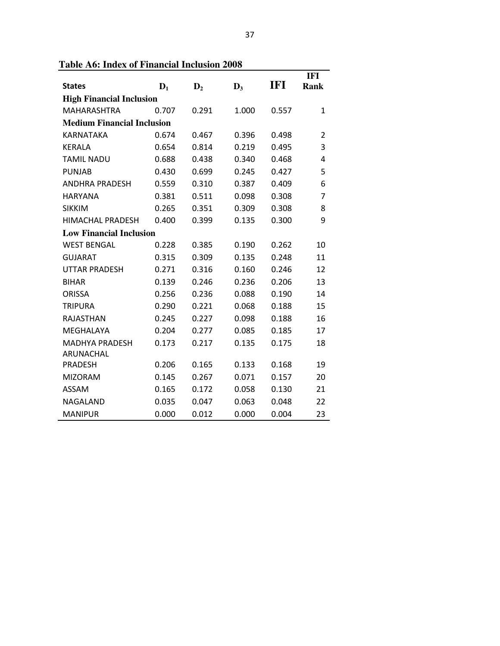| <b>States</b>                     | $\mathbf{D}_1$                 | $\mathbf{D}_2$ | $\mathbf{D}_3$ | IFI   | <b>IFI</b><br><b>Rank</b> |  |
|-----------------------------------|--------------------------------|----------------|----------------|-------|---------------------------|--|
| <b>High Financial Inclusion</b>   |                                |                |                |       |                           |  |
| <b>MAHARASHTRA</b>                | 0.707                          | 0.291          | 1.000          | 0.557 | 1                         |  |
| <b>Medium Financial Inclusion</b> |                                |                |                |       |                           |  |
| <b>KARNATAKA</b>                  | 0.674                          | 0.467          | 0.396          | 0.498 | $\overline{2}$            |  |
| <b>KERALA</b>                     | 0.654                          | 0.814          | 0.219          | 0.495 | 3                         |  |
| <b>TAMIL NADU</b>                 | 0.688                          | 0.438          | 0.340          | 0.468 | 4                         |  |
| <b>PUNJAB</b>                     | 0.430                          | 0.699          | 0.245          | 0.427 | 5                         |  |
| <b>ANDHRA PRADESH</b>             | 0.559                          | 0.310          | 0.387          | 0.409 | 6                         |  |
| <b>HARYANA</b>                    | 0.381                          | 0.511          | 0.098          | 0.308 | 7                         |  |
| <b>SIKKIM</b>                     | 0.265                          | 0.351          | 0.309          | 0.308 | 8                         |  |
| <b>HIMACHAL PRADESH</b>           | 0.400                          | 0.399          | 0.135          | 0.300 | 9                         |  |
|                                   | <b>Low Financial Inclusion</b> |                |                |       |                           |  |
| <b>WEST BENGAL</b>                | 0.228                          | 0.385          | 0.190          | 0.262 | 10                        |  |
| <b>GUJARAT</b>                    | 0.315                          | 0.309          | 0.135          | 0.248 | 11                        |  |
| <b>UTTAR PRADESH</b>              | 0.271                          | 0.316          | 0.160          | 0.246 | 12                        |  |
| <b>BIHAR</b>                      | 0.139                          | 0.246          | 0.236          | 0.206 | 13                        |  |
| <b>ORISSA</b>                     | 0.256                          | 0.236          | 0.088          | 0.190 | 14                        |  |
| <b>TRIPURA</b>                    | 0.290                          | 0.221          | 0.068          | 0.188 | 15                        |  |
| <b>RAJASTHAN</b>                  | 0.245                          | 0.227          | 0.098          | 0.188 | 16                        |  |
| MEGHALAYA                         | 0.204                          | 0.277          | 0.085          | 0.185 | 17                        |  |
| <b>MADHYA PRADESH</b>             | 0.173                          | 0.217          | 0.135          | 0.175 | 18                        |  |
| ARUNACHAL                         |                                |                |                |       |                           |  |
| <b>PRADESH</b>                    | 0.206                          | 0.165          | 0.133          | 0.168 | 19                        |  |
| <b>MIZORAM</b>                    | 0.145                          | 0.267          | 0.071          | 0.157 | 20                        |  |
| <b>ASSAM</b>                      | 0.165                          | 0.172          | 0.058          | 0.130 | 21                        |  |
| NAGALAND                          | 0.035                          | 0.047          | 0.063          | 0.048 | 22                        |  |
| <b>MANIPUR</b>                    | 0.000                          | 0.012          | 0.000          | 0.004 | 23                        |  |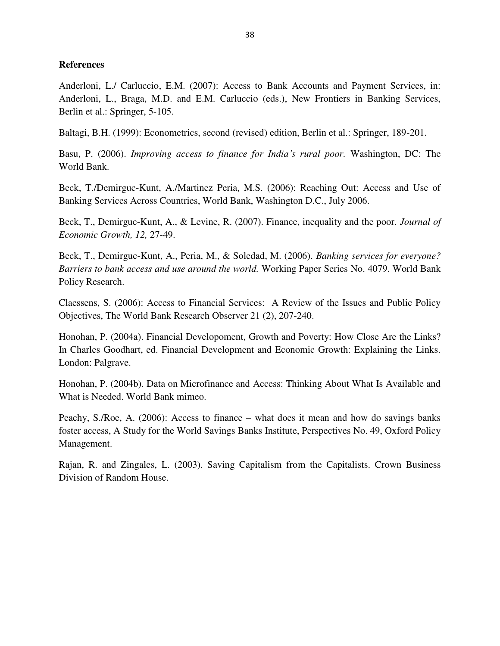## **References**

Anderloni, L./ Carluccio, E.M. (2007): Access to Bank Accounts and Payment Services, in: Anderloni, L., Braga, M.D. and E.M. Carluccio (eds.), New Frontiers in Banking Services, Berlin et al.: Springer, 5-105.

Baltagi, B.H. (1999): Econometrics, second (revised) edition, Berlin et al.: Springer, 189-201.

Basu, P. (2006). *Improving access to finance for India's rural poor.* Washington, DC: The World Bank.

Beck, T./Demirguc-Kunt, A./Martinez Peria, M.S. (2006): Reaching Out: Access and Use of Banking Services Across Countries, World Bank, Washington D.C., July 2006.

Beck, T., Demirguc-Kunt, A., & Levine, R. (2007). Finance, inequality and the poor. *Journal of Economic Growth, 12,* 27-49.

Beck, T., Demirguc-Kunt, A., Peria, M., & Soledad, M. (2006). *Banking services for everyone? Barriers to bank access and use around the world.* Working Paper Series No. 4079. World Bank Policy Research.

Claessens, S. (2006): Access to Financial Services: A Review of the Issues and Public Policy Objectives, The World Bank Research Observer 21 (2), 207-240.

Honohan, P. (2004a). Financial Developoment, Growth and Poverty: How Close Are the Links? In Charles Goodhart, ed. Financial Development and Economic Growth: Explaining the Links. London: Palgrave.

Honohan, P. (2004b). Data on Microfinance and Access: Thinking About What Is Available and What is Needed. World Bank mimeo.

Peachy, S./Roe, A. (2006): Access to finance – what does it mean and how do savings banks foster access, A Study for the World Savings Banks Institute, Perspectives No. 49, Oxford Policy Management.

Rajan, R. and Zingales, L. (2003). Saving Capitalism from the Capitalists. Crown Business Division of Random House.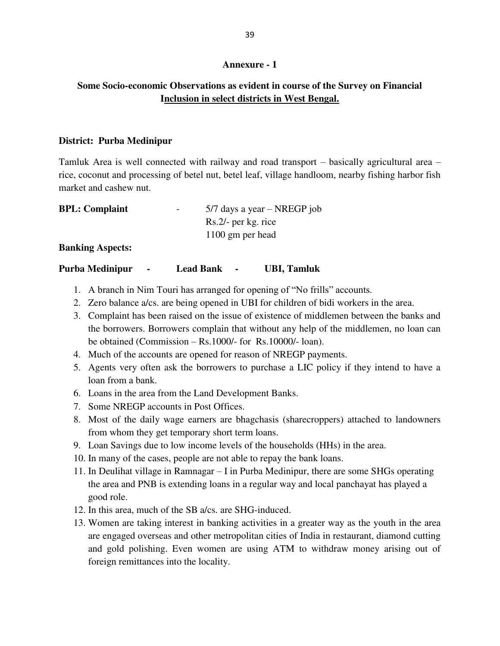## **Annexure - 1**

## **Some Socio-economic Observations as evident in course of the Survey on Financial Inclusion in select districts in West Bengal.**

## **District: Purba Medinipur**

Tamluk Area is well connected with railway and road transport – basically agricultural area – rice, coconut and processing of betel nut, betel leaf, village handloom, nearby fishing harbor fish market and cashew nut.

| <b>BPL:</b> Complaint | $\overline{\phantom{0}}$ | $5/7$ days a year – NREGP job |
|-----------------------|--------------------------|-------------------------------|
|                       |                          | Rs.2/- per kg. rice           |
|                       |                          | 1100 gm per head              |

## **Banking Aspects:**

## **Purba Medinipur - Lead Bank - UBI, Tamluk**

- 1. A branch in Nim Touri has arranged for opening of "No frills" accounts.
- 2. Zero balance a/cs. are being opened in UBI for children of bidi workers in the area.
- 3. Complaint has been raised on the issue of existence of middlemen between the banks and the borrowers. Borrowers complain that without any help of the middlemen, no loan can be obtained (Commission – Rs.1000/- for Rs.10000/- loan).
- 4. Much of the accounts are opened for reason of NREGP payments.
- 5. Agents very often ask the borrowers to purchase a LIC policy if they intend to have a loan from a bank.
- 6. Loans in the area from the Land Development Banks.
- 7. Some NREGP accounts in Post Offices.
- 8. Most of the daily wage earners are bhagchasis (sharecroppers) attached to landowners from whom they get temporary short term loans.
- 9. Loan Savings due to low income levels of the households (HHs) in the area.
- 10. In many of the cases, people are not able to repay the bank loans.
- 11. In Deulihat village in Ramnagar I in Purba Medinipur, there are some SHGs operating the area and PNB is extending loans in a regular way and local panchayat has played a good role.
- 12. In this area, much of the SB a/cs. are SHG-induced.
- 13. Women are taking interest in banking activities in a greater way as the youth in the area are engaged overseas and other metropolitan cities of India in restaurant, diamond cutting and gold polishing. Even women are using ATM to withdraw money arising out of foreign remittances into the locality.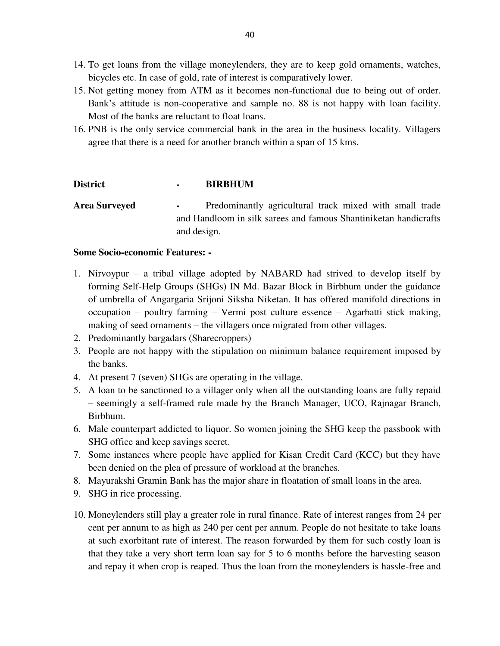- 14. To get loans from the village moneylenders, they are to keep gold ornaments, watches, bicycles etc. In case of gold, rate of interest is comparatively lower.
- 15. Not getting money from ATM as it becomes non-functional due to being out of order. Bank's attitude is non-cooperative and sample no. 88 is not happy with loan facility. Most of the banks are reluctant to float loans.
- 16. PNB is the only service commercial bank in the area in the business locality. Villagers agree that there is a need for another branch within a span of 15 kms.

## **District - BIRBHUM**

Area Surveyed - Predominantly agricultural track mixed with small trade and Handloom in silk sarees and famous Shantiniketan handicrafts and design.

## **Some Socio-economic Features: -**

- 1. Nirvoypur a tribal village adopted by NABARD had strived to develop itself by forming Self-Help Groups (SHGs) IN Md. Bazar Block in Birbhum under the guidance of umbrella of Angargaria Srijoni Siksha Niketan. It has offered manifold directions in occupation – poultry farming – Vermi post culture essence – Agarbatti stick making, making of seed ornaments – the villagers once migrated from other villages.
- 2. Predominantly bargadars (Sharecroppers)
- 3. People are not happy with the stipulation on minimum balance requirement imposed by the banks.
- 4. At present 7 (seven) SHGs are operating in the village.
- 5. A loan to be sanctioned to a villager only when all the outstanding loans are fully repaid – seemingly a self-framed rule made by the Branch Manager, UCO, Rajnagar Branch, Birbhum.
- 6. Male counterpart addicted to liquor. So women joining the SHG keep the passbook with SHG office and keep savings secret.
- 7. Some instances where people have applied for Kisan Credit Card (KCC) but they have been denied on the plea of pressure of workload at the branches.
- 8. Mayurakshi Gramin Bank has the major share in floatation of small loans in the area.
- 9. SHG in rice processing.
- 10. Moneylenders still play a greater role in rural finance. Rate of interest ranges from 24 per cent per annum to as high as 240 per cent per annum. People do not hesitate to take loans at such exorbitant rate of interest. The reason forwarded by them for such costly loan is that they take a very short term loan say for 5 to 6 months before the harvesting season and repay it when crop is reaped. Thus the loan from the moneylenders is hassle-free and